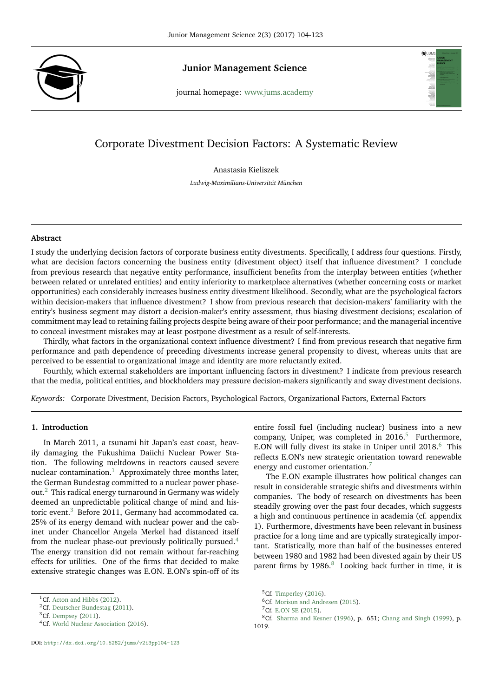

## **Junior Management Science**



# Corporate Divestment Decision Factors: A Systematic Review

Anastasia Kieliszek

*Ludwig-Maximilians-Universität München*

#### **Abstract**

I study the underlying decision factors of corporate business entity divestments. Specifically, I address four questions. Firstly, what are decision factors concerning the business entity (divestment object) itself that influence divestment? I conclude from previous research that negative entity performance, insufficient benefits from the interplay between entities (whether between related or unrelated entities) and entity inferiority to marketplace alternatives (whether concerning costs or market opportunities) each considerably increases business entity divestment likelihood. Secondly, what are the psychological factors within decision-makers that influence divestment? I show from previous research that decision-makers' familiarity with the entity's business segment may distort a decision-maker's entity assessment, thus biasing divestment decisions; escalation of commitment may lead to retaining failing projects despite being aware of their poor performance; and the managerial incentive to conceal investment mistakes may at least postpone divestment as a result of self-interests.

Thirdly, what factors in the organizational context influence divestment? I find from previous research that negative firm performance and path dependence of preceding divestments increase general propensity to divest, whereas units that are perceived to be essential to organizational image and identity are more reluctantly exited.

Fourthly, which external stakeholders are important influencing factors in divestment? I indicate from previous research that the media, political entities, and blockholders may pressure decision-makers significantly and sway divestment decisions.

*Keywords:* Corporate Divestment, Decision Factors, Psychological Factors, Organizational Factors, External Factors

## **1. Introduction**

In March 2011, a tsunami hit Japan's east coast, heavily damaging the Fukushima Daiichi Nuclear Power Station. The following meltdowns in reactors caused severe nuclear contamination.<sup>[1](#page-0-0)</sup> Approximately three months later, the German Bundestag committed to a nuclear power phase-out.<sup>[2](#page-0-1)</sup> This radical energy turnaround in Germany was widely deemed an unpredictable political change of mind and his-toric event.<sup>[3](#page-0-2)</sup> Before 2011, Germany had accommodated ca. 25% of its energy demand with nuclear power and the cabinet under Chancellor Angela Merkel had distanced itself from the nuclear phase-out previously politically pursued.[4](#page-0-3) The energy transition did not remain without far-reaching effects for utilities. One of the firms that decided to make extensive strategic changes was E.ON. E.ON's spin-off of its

entire fossil fuel (including nuclear) business into a new company, Uniper, was completed in  $2016$ .<sup>[5](#page-0-4)</sup> Furthermore, E.ON will fully divest its stake in Uniper until  $2018$ <sup>[6](#page-0-5)</sup>. This reflects E.ON's new strategic orientation toward renewable energy and customer orientation.<sup>[7](#page-0-6)</sup>

The E.ON example illustrates how political changes can result in considerable strategic shifts and divestments within companies. The body of research on divestments has been steadily growing over the past four decades, which suggests a high and continuous pertinence in academia (cf. appendix 1). Furthermore, divestments have been relevant in business practice for a long time and are typically strategically important. Statistically, more than half of the businesses entered between 1980 and 1982 had been divested again by their US parent firms by 19[8](#page-0-7)6.<sup>8</sup> Looking back further in time, it is

<span id="page-0-0"></span><sup>&</sup>lt;sup>1</sup>Cf. [Acton and Hibbs](#page-15-0) [\(2012\)](#page-15-0).

<span id="page-0-1"></span><sup>&</sup>lt;sup>2</sup>Cf. [Deutscher Bundestag](#page-16-0) [\(2011\)](#page-16-0).

<span id="page-0-2"></span> ${}^{3}$ Cf. [Dempsey](#page-16-1) [\(2011\)](#page-16-1).

<span id="page-0-3"></span><sup>&</sup>lt;sup>4</sup>Cf. [World Nuclear Association](#page-19-0) [\(2016\)](#page-19-0).

<span id="page-0-4"></span><sup>&</sup>lt;sup>5</sup>Cf. [Timperley](#page-18-0) [\(2016\)](#page-18-0).

<span id="page-0-5"></span><sup>&</sup>lt;sup>6</sup>Cf. [Morison and Andresen](#page-18-1) [\(2015\)](#page-18-1).

<span id="page-0-7"></span><span id="page-0-6"></span> ${}^{7}$ Cf. [E.ON SE](#page-16-2) [\(2015\)](#page-16-2).

 ${}^{8}$ Cf. [Sharma and Kesner](#page-18-2) [\(1996\)](#page-18-2), p. 651; [Chang and Singh](#page-15-1) [\(1999\)](#page-15-1), p. 1019.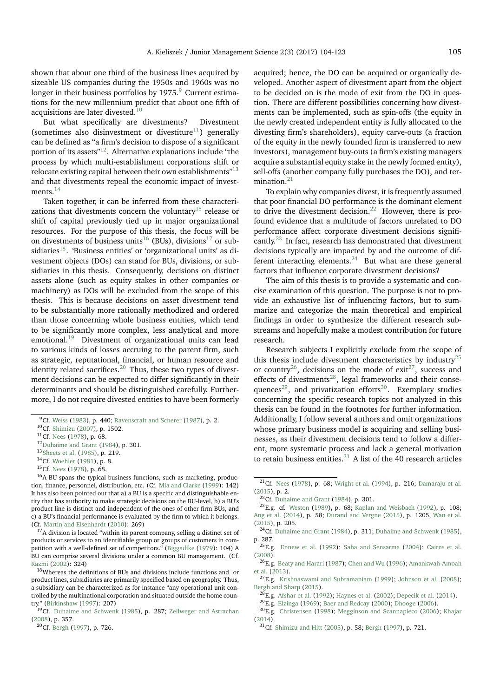shown that about one third of the business lines acquired by sizeable US companies during the 1950s and 1960s was no longer in their business portfolios by  $1975.9$  $1975.9$  $1975.9$  Current estimations for the new millennium predict that about one fifth of acquisitions are later divested.<sup>[10](#page-1-1)</sup>

But what specifically are divestments? Divestment (sometimes also disinvestment or divestiture<sup>[11](#page-1-2)</sup>) generally can be defined as "a firm's decision to dispose of a significant portion of its assets"[12](#page-1-3). Alternative explanations include "the process by which multi-establishment corporations shift or relocate existing capital between their own establishments"<sup>[13](#page-1-4)</sup> and that divestments repeal the economic impact of invest-ments.<sup>[14](#page-1-5)</sup>

Taken together, it can be inferred from these characteri-zations that divestments concern the voluntary<sup>[15](#page-1-6)</sup> release or shift of capital previously tied up in major organizational resources. For the purpose of this thesis, the focus will be on divestments of business units<sup>[16](#page-1-7)</sup> (BUs), divisions<sup>[17](#page-1-8)</sup> or sub-sidiaries<sup>[18](#page-1-9)</sup>. 'Business entities' or 'organizational units' as divestment objects (DOs) can stand for BUs, divisions, or subsidiaries in this thesis. Consequently, decisions on distinct assets alone (such as equity stakes in other companies or machinery) as DOs will be excluded from the scope of this thesis. This is because decisions on asset divestment tend to be substantially more rationally methodized and ordered than those concerning whole business entities, which tend to be significantly more complex, less analytical and more emotional.[19](#page-1-10) Divestment of organizational units can lead to various kinds of losses accruing to the parent firm, such as strategic, reputational, financial, or human resource and identity related sacrifices. $^{20}$  $^{20}$  $^{20}$  Thus, these two types of divestment decisions can be expected to differ significantly in their determinants and should be distinguished carefully. Furthermore, I do not require divested entities to have been formerly

acquired; hence, the DO can be acquired or organically developed. Another aspect of divestment apart from the object to be decided on is the mode of exit from the DO in question. There are different possibilities concerning how divestments can be implemented, such as spin-offs (the equity in the newly created independent entity is fully allocated to the divesting firm's shareholders), equity carve-outs (a fraction of the equity in the newly founded firm is transferred to new investors), management buy-outs (a firm's existing managers acquire a substantial equity stake in the newly formed entity), sell-offs (another company fully purchases the DO), and termination. $21$ 

To explain why companies divest, it is frequently assumed that poor financial DO performance is the dominant element to drive the divestment decision.<sup>[22](#page-1-13)</sup> However, there is profound evidence that a multitude of factors unrelated to DO performance affect corporate divestment decisions signifi-cantly.<sup>[23](#page-1-14)</sup> In fact, research has demonstrated that divestment decisions typically are impacted by and the outcome of different interacting elements. $24$  But what are these general factors that influence corporate divestment decisions?

The aim of this thesis is to provide a systematic and concise examination of this question. The purpose is not to provide an exhaustive list of influencing factors, but to summarize and categorize the main theoretical and empirical findings in order to synthesize the different research substreams and hopefully make a modest contribution for future research.

Research subjects I explicitly exclude from the scope of this thesis include divestment characteristics by industry<sup>[25](#page-1-16)</sup> or country<sup>[26](#page-1-17)</sup>, decisions on the mode of exit<sup>[27](#page-1-18)</sup>, success and effects of divestments<sup>[28](#page-1-19)</sup>, legal frameworks and their conse-quences<sup>[29](#page-1-20)</sup>, and privatization efforts<sup>[30](#page-1-21)</sup>. Exemplary studies concerning the specific research topics not analyzed in this thesis can be found in the footnotes for further information. Additionally, I follow several authors and omit organizations whose primary business model is acquiring and selling businesses, as their divestment decisions tend to follow a different, more systematic process and lack a general motivation to retain business entities. $31$  A list of the 40 research articles

<span id="page-1-0"></span> $9^9$ Cf. [Weiss](#page-19-1) [\(1983\)](#page-19-1), p. 440; [Ravenscraft and Scherer](#page-18-3) [\(1987\)](#page-18-3), p. 2.

<span id="page-1-1"></span><sup>10</sup>Cf. [Shimizu](#page-18-4) [\(2007\)](#page-18-4), p. 1502.

<span id="page-1-2"></span> $^{11}$ Cf. [Nees](#page-18-5) [\(1978\)](#page-18-5), p. 68.

<span id="page-1-3"></span><sup>12</sup>[Duhaime and Grant](#page-16-3) [\(1984\)](#page-16-3), p. 301.

<span id="page-1-4"></span><sup>13</sup>[Sheets et al.](#page-18-6) [\(1985\)](#page-18-6), p. 219.

<span id="page-1-5"></span><sup>14</sup>Cf. [Woehler](#page-19-2) [\(1981\)](#page-19-2), p. 8.

<span id="page-1-7"></span><span id="page-1-6"></span><sup>15</sup>Cf. [Nees](#page-18-5) [\(1978\)](#page-18-5), p. 68.

<sup>&</sup>lt;sup>16</sup>A BU spans the typical business functions, such as marketing, production, finance, personnel, distribution, etc. (Cf. [Mia and Clarke](#page-17-0) [\(1999\)](#page-17-0): 142) It has also been pointed out that a) a BU is a specific and distinguishable entity that has authority to make strategic decisions on the BU-level, b) a BU's product line is distinct and independent of the ones of other firm BUs, and c) a BU's financial performance is evaluated by the firm to which it belongs. (Cf. [Martin and Eisenhardt](#page-17-1) [\(2010\)](#page-17-1): 269)

<span id="page-1-8"></span> $17A$  division is located "within its parent company, selling a distinct set of products or services to an identifiable group or groups of customers in competition with a well-defined set of competitors." [\(Biggadike](#page-15-2) [\(1979\)](#page-15-2): 104) A BU can comprise several divisions under a common BU management. (Cf. [Kazmi](#page-17-2) [\(2002\)](#page-17-2): 324)

<span id="page-1-9"></span><sup>&</sup>lt;sup>18</sup>Whereas the definitions of BUs and divisions include functions and or product lines, subsidiaries are primarily specified based on geography. Thus, a subsidiary can be characterized as for instance "any operational unit controlled by the multinational corporation and situated outside the home country." [\(Birkinshaw](#page-15-3) [\(1997\)](#page-15-3): 207)

<span id="page-1-10"></span><sup>&</sup>lt;sup>19</sup>Cf. [Duhaime and Schwenk](#page-16-4) [\(1985\)](#page-16-4), p. 287; [Zellweger and Astrachan](#page-19-3) [\(2008\)](#page-19-3), p. 357.

<span id="page-1-11"></span><sup>20</sup>Cf. [Bergh](#page-15-4) [\(1997\)](#page-15-4), p. 726.

<span id="page-1-12"></span> $21 \text{Cf.}$  [Nees](#page-18-5) [\(1978\)](#page-18-5), p. 68; [Wright et al.](#page-19-4) [\(1994\)](#page-19-4), p. 216; [Damaraju et al.](#page-16-5) [\(2015\)](#page-16-5), p. 2.

<span id="page-1-14"></span><span id="page-1-13"></span> $22$ Cf. [Duhaime and Grant](#page-16-3) [\(1984\)](#page-16-3), p. 301.

<sup>23</sup>E.g. cf. [Weston](#page-19-5) [\(1989\)](#page-19-5), p. 68; [Kaplan and Weisbach](#page-17-3) [\(1992\)](#page-17-3), p. 108; [Ang et al.](#page-15-5) [\(2014\)](#page-15-5), p. 58; [Durand and Vergne](#page-16-6) [\(2015\)](#page-16-6), p. 1205, [Wan et al.](#page-19-6) [\(2015\)](#page-19-6), p. 205.

<span id="page-1-15"></span><sup>&</sup>lt;sup>24</sup>Cf. [Duhaime and Grant](#page-16-3) [\(1984\)](#page-16-3), p. 311; [Duhaime and Schwenk](#page-16-4) [\(1985\)](#page-16-4), p. 287.

<span id="page-1-16"></span><sup>25</sup>E.g. [Ennew et al.](#page-16-7) [\(1992\)](#page-16-7); [Saha and Sensarma](#page-18-7) [\(2004\)](#page-18-7); [Cairns et al.](#page-15-6) [\(2008\)](#page-15-6).

<span id="page-1-17"></span><sup>26</sup>E.g. [Beaty and Harari](#page-15-7) [\(1987\)](#page-15-7); [Chen and Wu](#page-15-8) [\(1996\)](#page-15-8); [Amankwah-Amoah](#page-15-9) [et al.](#page-15-9) [\(2013\)](#page-15-9).

<span id="page-1-18"></span><sup>27</sup>E.g. [Krishnaswami and Subramaniam](#page-17-4) [\(1999\)](#page-17-4); [Johnson et al.](#page-17-5) [\(2008\)](#page-17-5); [Bergh and Sharp](#page-15-10) [\(2015\)](#page-15-10).

<span id="page-1-19"></span> $^{28}$ E.g. [Afshar et al.](#page-15-11) [\(1992\)](#page-15-11); [Haynes et al.](#page-17-6) [\(2002\)](#page-17-6); [Depecik et al.](#page-16-8) [\(2014\)](#page-16-8).

<span id="page-1-21"></span><span id="page-1-20"></span><sup>29</sup>E.g. [Elzinga](#page-16-9) [\(1969\)](#page-16-9); [Baer and Redcay](#page-15-12) [\(2000\)](#page-15-12); [Dhooge](#page-16-10) [\(2006\)](#page-16-10).

<sup>30</sup>E.g. [Christensen](#page-15-13) [\(1998\)](#page-15-13); [Megginson and Scannapieco](#page-17-7) [\(2006\)](#page-17-7); [Khajar](#page-17-8) [\(2014\)](#page-17-8).

<span id="page-1-22"></span><sup>31</sup>Cf. [Shimizu and Hitt](#page-18-8) [\(2005\)](#page-18-8), p. 58; [Bergh](#page-15-4) [\(1997\)](#page-15-4), p. 721.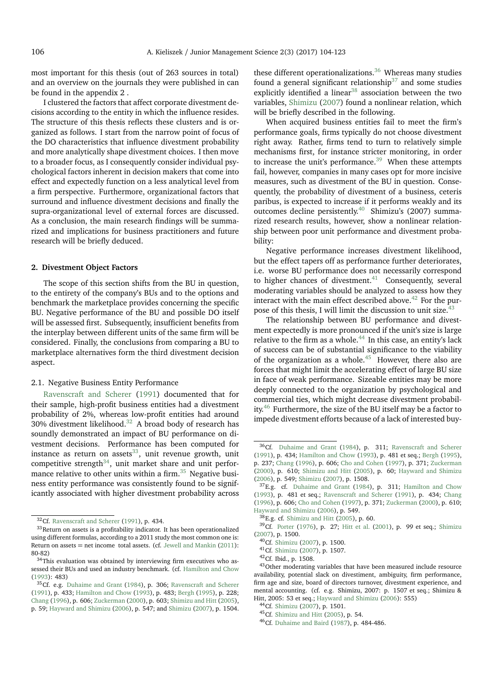most important for this thesis (out of 263 sources in total) and an overview on the journals they were published in can be found in the appendix 2 .

I clustered the factors that affect corporate divestment decisions according to the entity in which the influence resides. The structure of this thesis reflects these clusters and is organized as follows. I start from the narrow point of focus of the DO characteristics that influence divestment probability and more analytically shape divestment choices. I then move to a broader focus, as I consequently consider individual psychological factors inherent in decision makers that come into effect and expectedly function on a less analytical level from a firm perspective. Furthermore, organizational factors that surround and influence divestment decisions and finally the supra-organizational level of external forces are discussed. As a conclusion, the main research findings will be summarized and implications for business practitioners and future research will be briefly deduced.

## **2. Divestment Object Factors**

The scope of this section shifts from the BU in question, to the entirety of the company's BUs and to the options and benchmark the marketplace provides concerning the specific BU. Negative performance of the BU and possible DO itself will be assessed first. Subsequently, insufficient benefits from the interplay between different units of the same firm will be considered. Finally, the conclusions from comparing a BU to marketplace alternatives form the third divestment decision aspect.

#### 2.1. Negative Business Entity Performance

[Ravenscraft and Scherer](#page-18-9) [\(1991\)](#page-18-9) documented that for their sample, high-profit business entities had a divestment probability of 2%, whereas low-profit entities had around 30% divestment likelihood.[32](#page-2-0) A broad body of research has soundly demonstrated an impact of BU performance on divestment decisions. Performance has been computed for instance as return on assets $^{33}$  $^{33}$  $^{33}$ , unit revenue growth, unit competitive strength $34$ , unit market share and unit performance relative to other units within a firm. $35$  Negative business entity performance was consistently found to be significantly associated with higher divestment probability across

these different operationalizations. $36$  Whereas many studies found a general significant relationship<sup>[37](#page-2-5)</sup> and some studies explicitly identified a linear<sup>[38](#page-2-6)</sup> association between the two variables, [Shimizu](#page-18-4) [\(2007\)](#page-18-4) found a nonlinear relation, which will be briefly described in the following.

When acquired business entities fail to meet the firm's performance goals, firms typically do not choose divestment right away. Rather, firms tend to turn to relatively simple mechanisms first, for instance stricter monitoring, in order to increase the unit's performance. $39$  When these attempts fail, however, companies in many cases opt for more incisive measures, such as divestment of the BU in question. Consequently, the probability of divestment of a business, ceteris paribus, is expected to increase if it performs weakly and its outcomes decline persistently.<sup>[40](#page-2-8)</sup> Shimizu's (2007) summarized research results, however, show a nonlinear relationship between poor unit performance and divestment probability:

Negative performance increases divestment likelihood, but the effect tapers off as performance further deteriorates, i.e. worse BU performance does not necessarily correspond to higher chances of divestment. $41$  Consequently, several moderating variables should be analyzed to assess how they interact with the main effect described above. $42$  For the pur-pose of this thesis, I will limit the discussion to unit size.<sup>[43](#page-2-11)</sup>

The relationship between BU performance and divestment expectedly is more pronounced if the unit's size is large relative to the firm as a whole. $44$  In this case, an entity's lack of success can be of substantial significance to the viability of the organization as a whole.<sup>[45](#page-2-13)</sup> However, there also are forces that might limit the accelerating effect of large BU size in face of weak performance. Sizeable entities may be more deeply connected to the organization by psychological and commercial ties, which might decrease divestment probabil-ity.<sup>[46](#page-2-14)</sup> Furthermore, the size of the BU itself may be a factor to impede divestment efforts because of a lack of interested buy-

<span id="page-2-14"></span><sup>46</sup>Cf. [Duhaime and Baird](#page-16-11) [\(1987\)](#page-16-11), p. 484-486.

<span id="page-2-1"></span><span id="page-2-0"></span><sup>32</sup>Cf. [Ravenscraft and Scherer](#page-18-9) [\(1991\)](#page-18-9), p. 434.

 $33$ Return on assets is a profitability indicator. It has been operationalized using different formulas, according to a 2011 study the most common one is: Return on assets = net income total assets. (cf. [Jewell and Mankin](#page-17-9) [\(2011\)](#page-17-9): 80-82)

<span id="page-2-2"></span> $^{34}\mathrm{This}$  evaluation was obtained by interviewing firm executives who assessed their BUs and used an industry benchmark. (cf. [Hamilton and Chow](#page-17-10) [\(1993\)](#page-17-10): 483)

<span id="page-2-3"></span><sup>35</sup>Cf. e.g. [Duhaime and Grant](#page-16-3) [\(1984\)](#page-16-3), p. 306; [Ravenscraft and Scherer](#page-18-9) [\(1991\)](#page-18-9), p. 433; [Hamilton and Chow](#page-17-10) [\(1993\)](#page-17-10), p. 483; [Bergh](#page-15-14) [\(1995\)](#page-15-14), p. 228; [Chang](#page-15-15) [\(1996\)](#page-15-15), p. 606; [Zuckerman](#page-19-7) [\(2000\)](#page-19-7), p. 603; [Shimizu and Hitt](#page-18-8) [\(2005\)](#page-18-8), p. 59; [Hayward and Shimizu](#page-17-11) [\(2006\)](#page-17-11), p. 547; and [Shimizu](#page-18-4) [\(2007\)](#page-18-4), p. 1504.

<span id="page-2-4"></span><sup>36</sup>Cf. [Duhaime and Grant](#page-16-3) [\(1984\)](#page-16-3), p. 311; [Ravenscraft and Scherer](#page-18-9) [\(1991\)](#page-18-9), p. 434; [Hamilton and Chow](#page-17-10) [\(1993\)](#page-17-10), p. 481 et seq.; [Bergh](#page-15-14) [\(1995\)](#page-15-14), p. 237; [Chang](#page-15-15) [\(1996\)](#page-15-15), p. 606; [Cho and Cohen](#page-15-16) [\(1997\)](#page-15-16), p. 371; [Zuckerman](#page-19-7) [\(2000\)](#page-19-7), p. 610; [Shimizu and Hitt](#page-18-8) [\(2005\)](#page-18-8), p. 60; [Hayward and Shimizu](#page-17-11) [\(2006\)](#page-17-11), p. 549; [Shimizu](#page-18-4) [\(2007\)](#page-18-4), p. 1508.

<span id="page-2-5"></span><sup>&</sup>lt;sup>37</sup>E.g. cf. [Duhaime and Grant](#page-16-3) [\(1984\)](#page-16-3), p. 311; [Hamilton and Chow](#page-17-10) [\(1993\)](#page-17-10), p. 481 et seq.; [Ravenscraft and Scherer](#page-18-9) [\(1991\)](#page-18-9), p. 434; [Chang](#page-15-15) [\(1996\)](#page-15-15), p. 606; [Cho and Cohen](#page-15-16) [\(1997\)](#page-15-16), p. 371; [Zuckerman](#page-19-7) [\(2000\)](#page-19-7), p. 610; [Hayward and Shimizu](#page-17-11) [\(2006\)](#page-17-11), p. 549.

<span id="page-2-7"></span><span id="page-2-6"></span><sup>38</sup>E.g. cf. [Shimizu and Hitt](#page-18-8) [\(2005\)](#page-18-8), p. 60.

<sup>39</sup>Cf. [Porter](#page-18-10) [\(1976\)](#page-18-10), p. 27; [Hitt et al.](#page-17-12) [\(2001\)](#page-17-12), p. 99 et seq.; [Shimizu](#page-18-4) [\(2007\)](#page-18-4), p. 1500.

<span id="page-2-8"></span><sup>40</sup>Cf. [Shimizu](#page-18-4) [\(2007\)](#page-18-4), p. 1500.

<span id="page-2-9"></span><sup>41</sup>Cf. [Shimizu](#page-18-4) [\(2007\)](#page-18-4), p. 1507.

<span id="page-2-11"></span><span id="page-2-10"></span><sup>42</sup>Cf. Ibid., p. 1508.

<sup>43</sup>Other moderating variables that have been measured include resource availability, potential slack on divestiment, ambiguity, firm performance, firm age and size, board of directors turnover, divestment experience, and mental accounting. (cf. e.g. Shimizu, 2007: p. 1507 et seq.; Shimizu & Hitt, 2005: 53 et seq.; [Hayward and Shimizu](#page-17-11) [\(2006\)](#page-17-11): 555)

<span id="page-2-12"></span><sup>44</sup>Cf. [Shimizu](#page-18-4) [\(2007\)](#page-18-4), p. 1501.

<span id="page-2-13"></span><sup>45</sup>Cf. [Shimizu and Hitt](#page-18-8) [\(2005\)](#page-18-8), p. 54.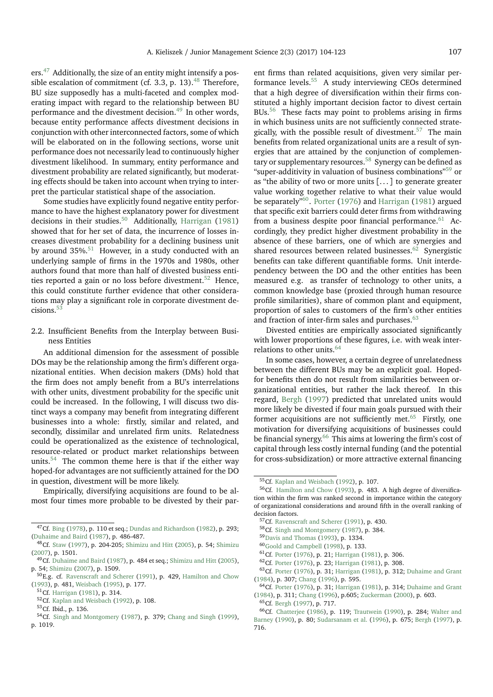ers.<sup>[47](#page-3-0)</sup> Additionally, the size of an entity might intensify a possible escalation of commitment (cf. 3.3, p. 13). $^{48}$  $^{48}$  $^{48}$  Therefore, BU size supposedly has a multi-faceted and complex moderating impact with regard to the relationship between BU performance and the divestment decision.<sup>[49](#page-3-2)</sup> In other words, because entity performance affects divestment decisions in conjunction with other interconnected factors, some of which will be elaborated on in the following sections, worse unit performance does not necessarily lead to continuously higher divestment likelihood. In summary, entity performance and divestment probability are related significantly, but moderating effects should be taken into account when trying to interpret the particular statistical shape of the association.

Some studies have explicitly found negative entity performance to have the highest explanatory power for divestment decisions in their studies.<sup>[50](#page-3-3)</sup> Additionally, [Harrigan](#page-17-13) [\(1981\)](#page-17-13) showed that for her set of data, the incurrence of losses increases divestment probability for a declining business unit by around  $35\%$ <sup>[51](#page-3-4)</sup> However, in a study conducted with an underlying sample of firms in the 1970s and 1980s, other authors found that more than half of divested business enti-ties reported a gain or no loss before divestment.<sup>[52](#page-3-5)</sup> Hence, this could constitute further evidence that other considerations may play a significant role in corporate divestment de-cisions.<sup>[53](#page-3-6)</sup>

2.2. Insufficient Benefits from the Interplay between Business Entities

An additional dimension for the assessment of possible DOs may be the relationship among the firm's different organizational entities. When decision makers (DMs) hold that the firm does not amply benefit from a BU's interrelations with other units, divestment probability for the specific unit could be increased. In the following, I will discuss two distinct ways a company may benefit from integrating different businesses into a whole: firstly, similar and related, and secondly, dissimilar and unrelated firm units. Relatedness could be operationalized as the existence of technological, resource-related or product market relationships between units.<sup>[54](#page-3-7)</sup> The common theme here is that if the either way hoped-for advantages are not sufficiently attained for the DO in question, divestment will be more likely.

Empirically, diversifying acquisitions are found to be almost four times more probable to be divested by their parent firms than related acquisitions, given very similar performance levels.[55](#page-3-8) A study interviewing CEOs determined that a high degree of diversification within their firms constituted a highly important decision factor to divest certain BUs.<sup>[56](#page-3-9)</sup> These facts may point to problems arising in firms in which business units are not sufficiently connected strate-gically, with the possible result of divestment.<sup>[57](#page-3-10)</sup> The main benefits from related organizational units are a result of synergies that are attained by the conjunction of complementary or supplementary resources.[58](#page-3-11) Synergy can be defined as "super-additivity in valuation of business combinations"[59](#page-3-12) or as "the ability of two or more units [. . . ] to generate greater value working together relative to what their value would be separately"<sup>[60](#page-3-13)</sup>. [Porter](#page-18-10) [\(1976\)](#page-18-10) and [Harrigan](#page-17-13) [\(1981\)](#page-17-13) argued that specific exit barriers could deter firms from withdrawing from a business despite poor financial performance. $61$  Accordingly, they predict higher divestment probability in the absence of these barriers, one of which are synergies and shared resources between related businesses.<sup>[62](#page-3-15)</sup> Synergistic benefits can take different quantifiable forms. Unit interdependency between the DO and the other entities has been measured e.g. as transfer of technology to other units, a common knowledge base (proxied through human resource profile similarities), share of common plant and equipment, proportion of sales to customers of the firm's other entities and fraction of inter-firm sales and purchases.  $63$ 

Divested entities are empirically associated significantly with lower proportions of these figures, i.e. with weak inter-relations to other units.<sup>[64](#page-3-17)</sup>

In some cases, however, a certain degree of unrelatedness between the different BUs may be an explicit goal. Hopedfor benefits then do not result from similarities between organizational entities, but rather the lack thereof. In this regard, [Bergh](#page-15-4) [\(1997\)](#page-15-4) predicted that unrelated units would more likely be divested if four main goals pursued with their former acquisitions are not sufficiently met. $65$  Firstly, one motivation for diversifying acquisitions of businesses could be financial synergy.<sup>[66](#page-3-19)</sup> This aims at lowering the firm's cost of capital through less costly internal funding (and the potential for cross-subsidization) or more attractive external financing

<span id="page-3-0"></span><sup>47</sup>Cf. [Bing](#page-15-17) [\(1978\)](#page-15-17), p. 110 et seq.; [Dundas and Richardson](#page-16-12) [\(1982\)](#page-16-12), p. 293; [\(Duhaime and Baird](#page-16-11) [\(1987\)](#page-16-11), p. 486-487.

<span id="page-3-1"></span><sup>48</sup> Cf. [Staw](#page-18-11) [\(1997\)](#page-18-11), p. 204-205; [Shimizu and Hitt](#page-18-8) [\(2005\)](#page-18-8), p. 54; [Shimizu](#page-18-4) [\(2007\)](#page-18-4), p. 1501.

<span id="page-3-2"></span><sup>49</sup>Cf. [Duhaime and Baird](#page-16-11) [\(1987\)](#page-16-11), p. 484 et seq.; [Shimizu and Hitt](#page-18-8) [\(2005\)](#page-18-8), p. 54; [Shimizu](#page-18-4) [\(2007\)](#page-18-4), p. 1509.

<span id="page-3-3"></span> $50E.g.$  cf. [Ravenscraft and Scherer](#page-18-9) [\(1991\)](#page-18-9), p. 429, [Hamilton and Chow](#page-17-10) [\(1993\)](#page-17-10), p. 481, [Weisbach](#page-19-8) [\(1995\)](#page-19-8), p. 177.

<span id="page-3-4"></span><sup>51</sup>Cf. [Harrigan](#page-17-13) [\(1981\)](#page-17-13), p. 314.

<span id="page-3-5"></span><sup>52</sup>Cf. [Kaplan and Weisbach](#page-17-3) [\(1992\)](#page-17-3), p. 108.

<span id="page-3-7"></span><span id="page-3-6"></span><sup>53</sup>Cf. Ibid., p. 136.

<sup>54</sup>Cf. [Singh and Montgomery](#page-18-12) [\(1987\)](#page-18-12), p. 379; [Chang and Singh](#page-15-1) [\(1999\)](#page-15-1), p. 1019.

<span id="page-3-9"></span><span id="page-3-8"></span><sup>55</sup>Cf. [Kaplan and Weisbach](#page-17-3) [\(1992\)](#page-17-3), p. 107.

<sup>56</sup>Cf. [Hamilton and Chow](#page-17-10) [\(1993\)](#page-17-10), p. 483. A high degree of diversification within the firm was ranked second in importance within the category of organizational considerations and around fifth in the overall ranking of decision factors.

<span id="page-3-10"></span><sup>&</sup>lt;sup>57</sup>Cf. [Ravenscraft and Scherer](#page-18-9) [\(1991\)](#page-18-9), p. 430.

<span id="page-3-11"></span><sup>58</sup>Cf. [Singh and Montgomery](#page-18-12) [\(1987\)](#page-18-12), p. 384.

<span id="page-3-12"></span><sup>59</sup>[Davis and Thomas](#page-16-13) [\(1993\)](#page-16-13), p. 1334.

<span id="page-3-13"></span><sup>60</sup>[Goold and Campbell](#page-16-14) [\(1998\)](#page-16-14), p. 133.

<span id="page-3-14"></span><sup>61</sup>Cf. [Porter](#page-18-10) [\(1976\)](#page-18-10), p. 21; [Harrigan](#page-17-13) [\(1981\)](#page-17-13), p. 306.

<span id="page-3-16"></span><span id="page-3-15"></span><sup>62</sup>Cf. [Porter](#page-18-10) [\(1976\)](#page-18-10), p. 23; [Harrigan](#page-17-13) [\(1981\)](#page-17-13), p. 308.

<sup>63</sup>Cf. [Porter](#page-18-10) [\(1976\)](#page-18-10), p. 31; [Harrigan](#page-17-13) [\(1981\)](#page-17-13), p. 312; [Duhaime and Grant](#page-16-3) [\(1984\)](#page-16-3), p. 307; [Chang](#page-15-15) [\(1996\)](#page-15-15), p. 595.

<span id="page-3-17"></span><sup>64</sup>Cf. [Porter](#page-18-10) [\(1976\)](#page-18-10), p. 31; [Harrigan](#page-17-13) [\(1981\)](#page-17-13), p. 314; [Duhaime and Grant](#page-16-3) [\(1984\)](#page-16-3), p. 311; [Chang](#page-15-15) [\(1996\)](#page-15-15), p.605; [Zuckerman](#page-19-7) [\(2000\)](#page-19-7), p. 603.

<span id="page-3-19"></span><span id="page-3-18"></span><sup>65</sup>Cf. [Bergh](#page-15-4) [\(1997\)](#page-15-4), p. 717.

<sup>66</sup>Cf. [Chatterjee](#page-15-18) [\(1986\)](#page-15-18), p. 119; [Trautwein](#page-18-13) [\(1990\)](#page-18-13), p. 284; [Walter and](#page-19-9) [Barney](#page-19-9) [\(1990\)](#page-19-9), p. 80; [Sudarsanam et al.](#page-18-14) [\(1996\)](#page-18-14), p. 675; [Bergh](#page-15-4) [\(1997\)](#page-15-4), p. 716.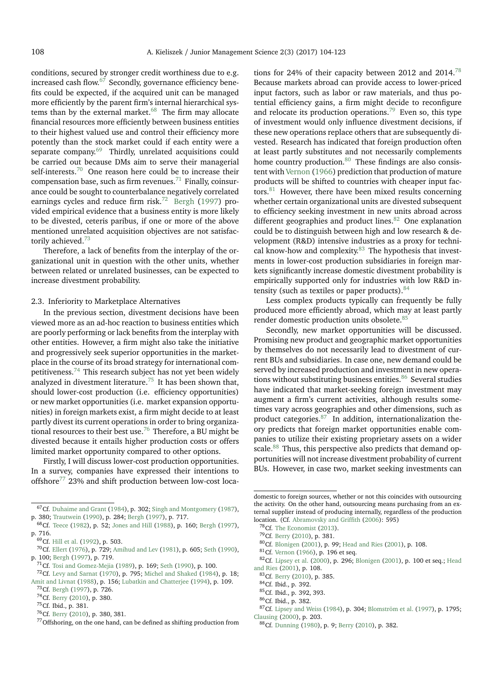conditions, secured by stronger credit worthiness due to e.g. increased cash flow. $67$  Secondly, governance efficiency benefits could be expected, if the acquired unit can be managed more efficiently by the parent firm's internal hierarchical systems than by the external market. $68$  The firm may allocate financial resources more efficiently between business entities to their highest valued use and control their efficiency more potently than the stock market could if each entity were a separate company.<sup>[69](#page-4-2)</sup> Thirdly, unrelated acquisitions could be carried out because DMs aim to serve their managerial self-interests.<sup>[70](#page-4-3)</sup> One reason here could be to increase their compensation base, such as firm revenues. $71$  Finally, coinsurance could be sought to counterbalance negatively correlated earnings cycles and reduce firm risk.<sup>[72](#page-4-5)</sup> [Bergh](#page-15-4) [\(1997\)](#page-15-4) provided empirical evidence that a business entity is more likely to be divested, ceteris paribus, if one or more of the above mentioned unrelated acquisition objectives are not satisfac-torily achieved.<sup>[73](#page-4-6)</sup>

Therefore, a lack of benefits from the interplay of the organizational unit in question with the other units, whether between related or unrelated businesses, can be expected to increase divestment probability.

#### 2.3. Inferiority to Marketplace Alternatives

In the previous section, divestment decisions have been viewed more as an ad-hoc reaction to business entities which are poorly performing or lack benefits from the interplay with other entities. However, a firm might also take the initiative and progressively seek superior opportunities in the marketplace in the course of its broad strategy for international com-petitiveness.<sup>[74](#page-4-7)</sup> This research subject has not yet been widely analyzed in divestment literature.<sup>[75](#page-4-8)</sup> It has been shown that, should lower-cost production (i.e. efficiency opportunities) or new market opportunities (i.e. market expansion opportunities) in foreign markets exist, a firm might decide to at least partly divest its current operations in order to bring organiza-tional resources to their best use.<sup>[76](#page-4-9)</sup> Therefore, a BU might be divested because it entails higher production costs or offers limited market opportunity compared to other options.

Firstly, I will discuss lower-cost production opportunities. In a survey, companies have expressed their intentions to offshore $^{77}$  $^{77}$  $^{77}$  23% and shift production between low-cost loca-

<span id="page-4-5"></span><span id="page-4-4"></span><sup>71</sup>Cf. [Tosi and Gomez-Mejia](#page-18-17) [\(1989\)](#page-18-17), p. 169; [Seth](#page-18-16) [\(1990\)](#page-18-16), p. 100.

<span id="page-4-10"></span><sup>77</sup>Offshoring, on the one hand, can be defined as shifting production from

tions for 24% of their capacity between 2012 and 2014.<sup>[78](#page-4-11)</sup> Because markets abroad can provide access to lower-priced input factors, such as labor or raw materials, and thus potential efficiency gains, a firm might decide to reconfigure and relocate its production operations.<sup>[79](#page-4-12)</sup> Even so, this type of investment would only influence divestment decisions, if these new operations replace others that are subsequently divested. Research has indicated that foreign production often at least partly substitutes and not necessarily complements home country production. $80$  These findings are also consistent with [Vernon](#page-19-10) [\(1966\)](#page-19-10) prediction that production of mature products will be shifted to countries with cheaper input factors.[81](#page-4-14) However, there have been mixed results concerning whether certain organizational units are divested subsequent to efficiency seeking investment in new units abroad across different geographies and product lines. $82$  One explanation could be to distinguish between high and low research & development (R&D) intensive industries as a proxy for techni-cal know-how and complexity.<sup>[83](#page-4-16)</sup> The hypothesis that investments in lower-cost production subsidiaries in foreign markets significantly increase domestic divestment probability is empirically supported only for industries with low R&D intensity (such as textiles or paper products).  $84$ 

Less complex products typically can frequently be fully produced more efficiently abroad, which may at least partly render domestic production units obsolete.<sup>[85](#page-4-18)</sup>

Secondly, new market opportunities will be discussed. Promising new product and geographic market opportunities by themselves do not necessarily lead to divestment of current BUs and subsidiaries. In case one, new demand could be served by increased production and investment in new opera-tions without substituting business entities.<sup>[86](#page-4-19)</sup> Several studies have indicated that market-seeking foreign investment may augment a firm's current activities, although results sometimes vary across geographies and other dimensions, such as product categories. $87$  In addition, internationalization theory predicts that foreign market opportunities enable companies to utilize their existing proprietary assets on a wider scale.<sup>[88](#page-4-21)</sup> Thus, this perspective also predicts that demand opportunities will not increase divestment probability of current BUs. However, in case two, market seeking investments can

<span id="page-4-0"></span><sup>&</sup>lt;sup>67</sup>Cf. [Duhaime and Grant](#page-16-3) [\(1984\)](#page-16-3), p. 302; [Singh and Montgomery](#page-18-12) [\(1987\)](#page-18-12), p. 380; [Trautwein](#page-18-13) [\(1990\)](#page-18-13), p. 284; [Bergh](#page-15-4) [\(1997\)](#page-15-4), p. 717.

<span id="page-4-1"></span><sup>68</sup>Cf. [Teece](#page-18-15) [\(1982\)](#page-18-15), p. 52; [Jones and Hill](#page-17-14) [\(1988\)](#page-17-14), p. 160; [Bergh](#page-15-4) [\(1997\)](#page-15-4), p. 716.

<span id="page-4-2"></span><sup>&</sup>lt;sup>69</sup>Cf. [Hill et al.](#page-17-15) [\(1992\)](#page-17-15), p. 503.

<span id="page-4-3"></span><sup>70</sup>Cf. [Ellert](#page-16-15) [\(1976\)](#page-16-15), p. 729; [Amihud and Lev](#page-15-19) [\(1981\)](#page-15-19), p. 605; [Seth](#page-18-16) [\(1990\)](#page-18-16), p. 100; [Bergh](#page-15-4) [\(1997\)](#page-15-4), p. 719.

<sup>72</sup>Cf. [Levy and Sarnat](#page-17-16) [\(1970\)](#page-17-16), p. 795; [Michel and Shaked](#page-17-17) [\(1984\)](#page-17-17), p. 18; [Amit and Livnat](#page-15-20) [\(1988\)](#page-15-20), p. 156; [Lubatkin and Chatterjee](#page-17-18) [\(1994\)](#page-17-18), p. 109.

<span id="page-4-7"></span><span id="page-4-6"></span><sup>73</sup>Cf. [Bergh](#page-15-4) [\(1997\)](#page-15-4), p. 726. <sup>74</sup>Cf. [Berry](#page-15-21) [\(2010\)](#page-15-21), p. 380.

<span id="page-4-8"></span><sup>75</sup>Cf. Ibid., p. 381.

<span id="page-4-9"></span><sup>76</sup>Cf. [Berry](#page-15-21) [\(2010\)](#page-15-21), p. 380, 381.

domestic to foreign sources, whether or not this coincides with outsourcing the activity. On the other hand, outsourcing means purchasing from an external supplier instead of producing internally, regardless of the production location. (Cf. [Abramovsky and Griffith](#page-15-22) [\(2006\)](#page-15-22): 595)

<span id="page-4-11"></span><sup>78</sup>Cf. [The Economist](#page-18-18) [\(2013\)](#page-18-18).

<span id="page-4-12"></span><sup>79</sup>Cf. [Berry](#page-15-21) [\(2010\)](#page-15-21), p. 381.

<span id="page-4-13"></span><sup>80</sup>Cf. [Blonigen](#page-15-23) [\(2001\)](#page-15-23), p. 99; [Head and Ries](#page-17-19) [\(2001\)](#page-17-19), p. 108.

<span id="page-4-15"></span><span id="page-4-14"></span><sup>81</sup>Cf. [Vernon](#page-19-10) [\(1966\)](#page-19-10), p. 196 et seq.

<sup>82</sup>Cf. [Lipsey et al.](#page-17-20) [\(2000\)](#page-17-20), p. 296; [Blonigen](#page-15-23) [\(2001\)](#page-15-23), p. 100 et seq.; [Head](#page-17-19) [and Ries](#page-17-19) [\(2001\)](#page-17-19), p. 108.

<span id="page-4-16"></span><sup>83</sup>Cf. [Berry](#page-15-21) [\(2010\)](#page-15-21), p. 385.

<span id="page-4-17"></span><sup>84</sup>Cf. Ibid., p. 392.

<span id="page-4-18"></span><sup>85</sup>Cf. Ibid., p. 392, 393.

<span id="page-4-20"></span><span id="page-4-19"></span><sup>86</sup>Cf. Ibid., p. 382.

<sup>87</sup>Cf. [Lipsey and Weiss](#page-17-21) [\(1984\)](#page-17-21), p. 304; [Blomström et al.](#page-15-24) [\(1997\)](#page-15-24), p. 1795; [Clausing](#page-16-16) [\(2000\)](#page-16-16), p. 203.

<span id="page-4-21"></span><sup>88</sup>Cf. [Dunning](#page-16-17) [\(1980\)](#page-16-17), p. 9; [Berry](#page-15-21) [\(2010\)](#page-15-21), p. 382.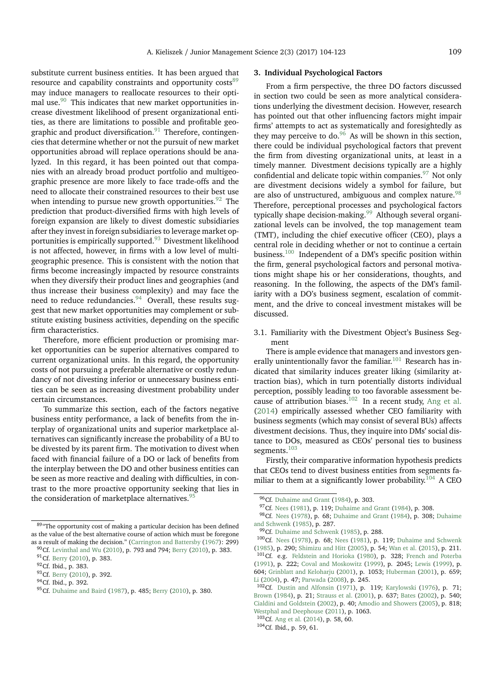substitute current business entities. It has been argued that resource and capability constraints and opportunity costs<sup>[89](#page-5-0)</sup> may induce managers to reallocate resources to their optimal use. $90$  This indicates that new market opportunities increase divestment likelihood of present organizational entities, as there are limitations to possible and profitable geographic and product diversification. $91$  Therefore, contingencies that determine whether or not the pursuit of new market opportunities abroad will replace operations should be analyzed. In this regard, it has been pointed out that companies with an already broad product portfolio and multigeographic presence are more likely to face trade-offs and the need to allocate their constrained resources to their best use when intending to pursue new growth opportunities. <sup>[92](#page-5-3)</sup> The prediction that product-diversified firms with high levels of foreign expansion are likely to divest domestic subsidiaries after they invest in foreign subsidiaries to leverage market op-portunities is empirically supported.<sup>[93](#page-5-4)</sup> Divestment likelihood is not affected, however, in firms with a low level of multigeographic presence. This is consistent with the notion that firms become increasingly impacted by resource constraints when they diversify their product lines and geographies (and thus increase their business complexity) and may face the need to reduce redundancies. $94$  Overall, these results suggest that new market opportunities may complement or substitute existing business activities, depending on the specific firm characteristics.

Therefore, more efficient production or promising market opportunities can be superior alternatives compared to current organizational units. In this regard, the opportunity costs of not pursuing a preferable alternative or costly redundancy of not divesting inferior or unnecessary business entities can be seen as increasing divestment probability under certain circumstances.

To summarize this section, each of the factors negative business entity performance, a lack of benefits from the interplay of organizational units and superior marketplace alternatives can significantly increase the probability of a BU to be divested by its parent firm. The motivation to divest when faced with financial failure of a DO or lack of benefits from the interplay between the DO and other business entities can be seen as more reactive and dealing with difficulties, in contrast to the more proactive opportunity seeking that lies in the consideration of marketplace alternatives. $95$ 

## **3. Individual Psychological Factors**

From a firm perspective, the three DO factors discussed in section two could be seen as more analytical considerations underlying the divestment decision. However, research has pointed out that other influencing factors might impair firms' attempts to act as systematically and foresightedly as they may perceive to do. $96$  As will be shown in this section, there could be individual psychological factors that prevent the firm from divesting organizational units, at least in a timely manner. Divestment decisions typically are a highly confidential and delicate topic within companies.<sup>[97](#page-5-8)</sup> Not only are divestment decisions widely a symbol for failure, but are also of unstructured, ambiguous and complex nature.<sup>[98](#page-5-9)</sup> Therefore, perceptional processes and psychological factors typically shape decision-making.<sup>[99](#page-5-10)</sup> Although several organizational levels can be involved, the top management team (TMT), including the chief executive officer (CEO), plays a central role in deciding whether or not to continue a certain business.[100](#page-5-11) Independent of a DM's specific position within the firm, general psychological factors and personal motivations might shape his or her considerations, thoughts, and reasoning. In the following, the aspects of the DM's familiarity with a DO's business segment, escalation of commitment, and the drive to conceal investment mistakes will be discussed.

3.1. Familiarity with the Divestment Object's Business Segment

There is ample evidence that managers and investors gen-erally unintentionally favor the familiar.<sup>[101](#page-5-12)</sup> Research has indicated that similarity induces greater liking (similarity attraction bias), which in turn potentially distorts individual perception, possibly leading to too favorable assessment be-cause of attribution biases.<sup>[102](#page-5-13)</sup> In a recent study, [Ang et al.](#page-15-5) [\(2014\)](#page-15-5) empirically assessed whether CEO familiarity with business segments (which may consist of several BUs) affects divestment decisions. Thus, they inquire into DMs' social distance to DOs, measured as CEOs' personal ties to business segments.<sup>[103](#page-5-14)</sup>

Firstly, their comparative information hypothesis predicts that CEOs tend to divest business entities from segments fa-miliar to them at a significantly lower probability.<sup>[104](#page-5-15)</sup> A CEO

<span id="page-5-14"></span><sup>103</sup>Cf. [Ang et al.](#page-15-5) [\(2014\)](#page-15-5), p. 58, 60.

<span id="page-5-15"></span><sup>104</sup>Cf. Ibid., p. 59, 61.

<span id="page-5-0"></span> $^{89\,}$  The opportunity cost of making a particular decision has been defined as the value of the best alternative course of action which must be foregone as a result of making the decision." [\(Carrington and Battersby](#page-15-25) [\(1967\)](#page-15-25): 299)

<span id="page-5-1"></span> $90Cf.$  [Levinthal and Wu](#page-17-22) [\(2010\)](#page-15-21), p. 793 and 794; [Berry](#page-15-21) (2010), p. 383. 91 Cf. [Berry](#page-15-21) [\(2010\)](#page-15-21), p. 383.

<span id="page-5-3"></span><span id="page-5-2"></span><sup>92</sup>Cf. Ibid., p. 383.

<span id="page-5-4"></span><sup>93</sup> Cf. [Berry](#page-15-21) [\(2010\)](#page-15-21), p. 392.

<span id="page-5-5"></span><sup>94</sup>Cf. Ibid., p. 392.

<span id="page-5-6"></span><sup>95</sup> Cf. [Duhaime and Baird](#page-16-11) [\(1987\)](#page-16-11), p. 485; [Berry](#page-15-21) [\(2010\)](#page-15-21), p. 380.

<span id="page-5-7"></span><sup>96</sup>Cf. [Duhaime and Grant](#page-16-3) [\(1984\)](#page-16-3), p. 303.

<span id="page-5-9"></span><span id="page-5-8"></span><sup>97</sup>Cf. [Nees](#page-18-19) [\(1981\)](#page-18-19), p. 119; [Duhaime and Grant](#page-16-3) [\(1984\)](#page-16-3), p. 308.

<sup>98</sup>Cf. [Nees](#page-18-5) [\(1978\)](#page-18-5), p. 68; [Duhaime and Grant](#page-16-3) [\(1984\)](#page-16-3), p. 308; [Duhaime](#page-16-4) [and Schwenk](#page-16-4) [\(1985\)](#page-16-4), p. 287.

<span id="page-5-11"></span><span id="page-5-10"></span><sup>99</sup>Cf. [Duhaime and Schwenk](#page-16-4) [\(1985\)](#page-16-4), p. 288.

<span id="page-5-12"></span><sup>100</sup>Cf. [Nees](#page-18-5) [\(1978\)](#page-18-5), p. 68; [Nees](#page-18-19) [\(1981\)](#page-18-19), p. 119; [Duhaime and Schwenk](#page-16-4) [\(1985\)](#page-16-4), p. 290; [Shimizu and Hitt](#page-18-8) [\(2005\)](#page-18-8), p. 54; [Wan et al.](#page-19-6) [\(2015\)](#page-19-6), p. 211. <sup>101</sup>Cf. e.g. [Feldstein and Horioka](#page-16-18) [\(1980\)](#page-16-18), p. 328; [French and Poterba](#page-16-19) [\(1991\)](#page-16-19), p. 222; [Coval and Moskowitz](#page-16-20) [\(1999\)](#page-16-20), p. 2045; [Lewis](#page-17-23) [\(1999\)](#page-17-23), p. 604; [Grinblatt and Keloharju](#page-16-21) [\(2001\)](#page-16-21), p. 1053; [Huberman](#page-17-24) [\(2001\)](#page-17-24), p. 659; [Li](#page-17-25) [\(2004\)](#page-17-25), p. 47; [Parwada](#page-18-20) [\(2008\)](#page-18-20), p. 245.

<span id="page-5-13"></span><sup>102</sup>Cf. [Dustin and Alfonsin](#page-16-22) [\(1971\)](#page-16-22), p. 119; [Karylowski](#page-17-26) [\(1976\)](#page-17-26), p. 71; [Brown](#page-15-26) [\(1984\)](#page-15-26), p. 21; [Strauss et al.](#page-18-21) [\(2001\)](#page-18-21), p. 637; [Bates](#page-15-27) [\(2002\)](#page-15-27), p. 540; [Cialdini and Goldstein](#page-15-28) [\(2002\)](#page-15-28), p. 40; [Amodio and Showers](#page-15-29) [\(2005\)](#page-15-29), p. 818; [Westphal and Deephouse](#page-19-11) [\(2011\)](#page-19-11), p. 1063.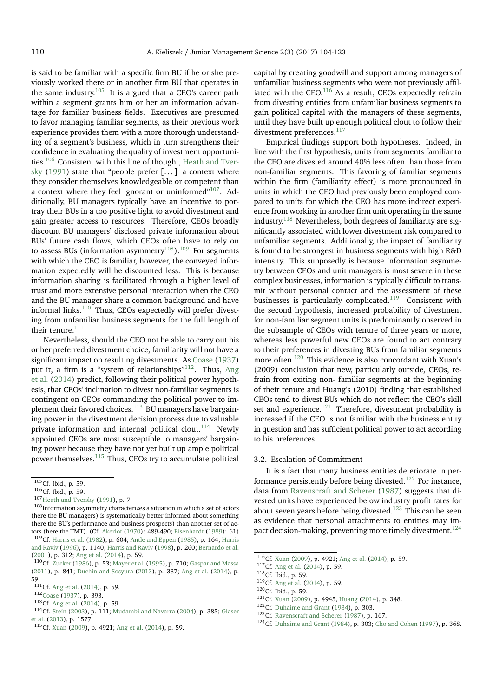is said to be familiar with a specific firm BU if he or she previously worked there or in another firm BU that operates in the same industry.<sup>[105](#page-6-0)</sup> It is argued that a CEO's career path within a segment grants him or her an information advantage for familiar business fields. Executives are presumed to favor managing familiar segments, as their previous work experience provides them with a more thorough understanding of a segment's business, which in turn strengthens their confidence in evaluating the quality of investment opportuni-ties.<sup>[106](#page-6-1)</sup> Consistent with this line of thought, [Heath and Tver](#page-17-27)[sky](#page-17-27) [\(1991\)](#page-17-27) state that "people prefer  $[...]$  a context where they consider themselves knowledgeable or competent than a context where they feel ignorant or uninformed $v^{107}$  $v^{107}$  $v^{107}$ . Additionally, BU managers typically have an incentive to portray their BUs in a too positive light to avoid divestment and gain greater access to resources. Therefore, CEOs broadly discount BU managers' disclosed private information about BUs' future cash flows, which CEOs often have to rely on to assess BUs (information asymmetry<sup>[108](#page-6-3)</sup>).<sup>[109](#page-6-4)</sup> For segments with which the CEO is familiar, however, the conveyed information expectedly will be discounted less. This is because information sharing is facilitated through a higher level of trust and more extensive personal interaction when the CEO and the BU manager share a common background and have informal links. $110$  Thus, CEOs expectedly will prefer divesting from unfamiliar business segments for the full length of their tenure. $111$ 

Nevertheless, should the CEO not be able to carry out his or her preferred divestment choice, familiarity will not have a significant impact on resulting divestments. As [Coase](#page-16-23) [\(1937\)](#page-16-23) put it, a firm is a "system of relationships"<sup>[112](#page-6-7)</sup>. Thus, [Ang](#page-15-5) [et al.](#page-15-5) [\(2014\)](#page-15-5) predict, following their political power hypothesis, that CEOs' inclination to divest non-familiar segments is contingent on CEOs commanding the political power to im-plement their favored choices.<sup>[113](#page-6-8)</sup> BU managers have bargaining power in the divestment decision process due to valuable private information and internal political clout.<sup>[114](#page-6-9)</sup> Newly appointed CEOs are most susceptible to managers' bargaining power because they have not yet built up ample political power themselves.[115](#page-6-10) Thus, CEOs try to accumulate political

<span id="page-6-4"></span>tors (here the TMT). (Cf. [Akerlof](#page-15-30) [\(1970\)](#page-15-30): 489-490; [Eisenhardt](#page-16-24) [\(1989\)](#page-16-24): 61) <sup>109</sup>Cf. [Harris et al.](#page-17-28) [\(1982\)](#page-17-28), p. 604; [Antle and Eppen](#page-15-31) [\(1985\)](#page-15-31), p. 164; [Harris](#page-17-29) [and Raviv](#page-17-29) [\(1996\)](#page-17-29), p. 1140; [Harris and Raviv](#page-17-30) [\(1998\)](#page-17-30), p. 260; [Bernardo et al.](#page-15-32) [\(2001\)](#page-15-32), p. 312; [Ang et al.](#page-15-5) [\(2014\)](#page-15-5), p. 59.

capital by creating goodwill and support among managers of unfamiliar business segments who were not previously affil-iated with the CEO.<sup>[116](#page-6-11)</sup> As a result, CEOs expectedly refrain from divesting entities from unfamiliar business segments to gain political capital with the managers of these segments, until they have built up enough political clout to follow their divestment preferences.<sup>[117](#page-6-12)</sup>

Empirical findings support both hypotheses. Indeed, in line with the first hypothesis, units from segments familiar to the CEO are divested around 40% less often than those from non-familiar segments. This favoring of familiar segments within the firm (familiarity effect) is more pronounced in units in which the CEO had previously been employed compared to units for which the CEO has more indirect experience from working in another firm unit operating in the same industry. $118$  Nevertheless, both degrees of familiarity are significantly associated with lower divestment risk compared to unfamiliar segments. Additionally, the impact of familiarity is found to be strongest in business segments with high R&D intensity. This supposedly is because information asymmetry between CEOs and unit managers is most severe in these complex businesses, information is typically difficult to transmit without personal contact and the assessment of these businesses is particularly complicated.<sup>[119](#page-6-14)</sup> Consistent with the second hypothesis, increased probability of divestment for non-familiar segment units is predominantly observed in the subsample of CEOs with tenure of three years or more, whereas less powerful new CEOs are found to act contrary to their preferences in divesting BUs from familiar segments more often.[120](#page-6-15) This evidence is also concordant with Xuan's (2009) conclusion that new, particularly outside, CEOs, refrain from exiting non- familiar segments at the beginning of their tenure and Huang's (2010) finding that established CEOs tend to divest BUs which do not reflect the CEO's skill set and experience. $121$  Therefore, divestment probability is increased if the CEO is not familiar with the business entity in question and has sufficient political power to act according to his preferences.

## 3.2. Escalation of Commitment

It is a fact that many business entities deteriorate in per-formance persistently before being divested.<sup>[122](#page-6-17)</sup> For instance, data from [Ravenscraft and Scherer](#page-18-3) [\(1987\)](#page-18-3) suggests that divested units have experienced below industry profit rates for about seven years before being divested.[123](#page-6-18) This can be seen as evidence that personal attachments to entities may im-pact decision-making, preventing more timely divestment.<sup>[124](#page-6-19)</sup>

<span id="page-6-0"></span> $105$ Cf. Ibid., p. 59.

<span id="page-6-1"></span><sup>106</sup>Cf. Ibid., p. 59.

<span id="page-6-2"></span><sup>107</sup>[Heath and Tversky](#page-17-27) [\(1991\)](#page-17-27), p. 7.

<span id="page-6-3"></span> $^{108}\rm{Information}$  asymmetry characterizes a situation in which a set of actors (here the BU managers) is systematically better informed about something (here the BU's performance and business prospects) than another set of ac-

<span id="page-6-5"></span><sup>110</sup>Cf. [Zucker](#page-19-12) [\(1986\)](#page-19-12), p. 53; [Mayer et al.](#page-17-31) [\(1995\)](#page-17-31), p. 710; [Gaspar and Massa](#page-16-25) [\(2011\)](#page-16-25), p. 841; [Duchin and Sosyura](#page-16-26) [\(2013\)](#page-16-26), p. 387; [Ang et al.](#page-15-5) [\(2014\)](#page-15-5), p. 59.

<span id="page-6-6"></span><sup>111</sup>Cf. [Ang et al.](#page-15-5) [\(2014\)](#page-15-5), p. 59.

<span id="page-6-7"></span><sup>112</sup>[Coase](#page-16-23) [\(1937\)](#page-16-23), p. 393.

<span id="page-6-8"></span><sup>113</sup>Cf. [Ang et al.](#page-15-5) [\(2014\)](#page-15-5), p. 59.

<span id="page-6-9"></span><sup>114</sup>Cf. [Stein](#page-18-22) [\(2003\)](#page-18-22), p. 111; [Mudambi and Navarra](#page-18-23) [\(2004\)](#page-18-23), p. 385; [Glaser](#page-16-27) [et al.](#page-16-27) [\(2013\)](#page-16-27), p. 1577.

<span id="page-6-10"></span><sup>115</sup>Cf. [Xuan](#page-19-13) [\(2009\)](#page-19-13), p. 4921; [Ang et al.](#page-15-5) [\(2014\)](#page-15-5), p. 59.

<span id="page-6-11"></span><sup>116</sup>Cf. [Xuan](#page-19-13) [\(2009\)](#page-19-13), p. 4921; [Ang et al.](#page-15-5) [\(2014\)](#page-15-5), p. 59.

<span id="page-6-12"></span><sup>117</sup>Cf. [Ang et al.](#page-15-5) [\(2014\)](#page-15-5), p. 59.

<span id="page-6-13"></span><sup>118</sup>Cf. Ibid., p. 59.

<span id="page-6-14"></span><sup>119</sup>Cf. [Ang et al.](#page-15-5) [\(2014\)](#page-15-5), p. 59.

<span id="page-6-15"></span><sup>120</sup>Cf. Ibid., p. 59.

<span id="page-6-16"></span><sup>121</sup>Cf. [Xuan](#page-19-13) [\(2009\)](#page-19-13), p. 4945, [Huang](#page-17-32) [\(2014\)](#page-17-32), p. 348.

<span id="page-6-17"></span><sup>&</sup>lt;sup>122</sup>Cf. [Duhaime and Grant](#page-16-3) [\(1984\)](#page-16-3), p. 303.

<span id="page-6-18"></span><sup>&</sup>lt;sup>123</sup>Cf. [Ravenscraft and Scherer](#page-18-3) [\(1987\)](#page-18-3), p. 167.

<span id="page-6-19"></span><sup>124</sup>Cf. [Duhaime and Grant](#page-16-3) [\(1984\)](#page-16-3), p. 303; [Cho and Cohen](#page-15-16) [\(1997\)](#page-15-16), p. 368.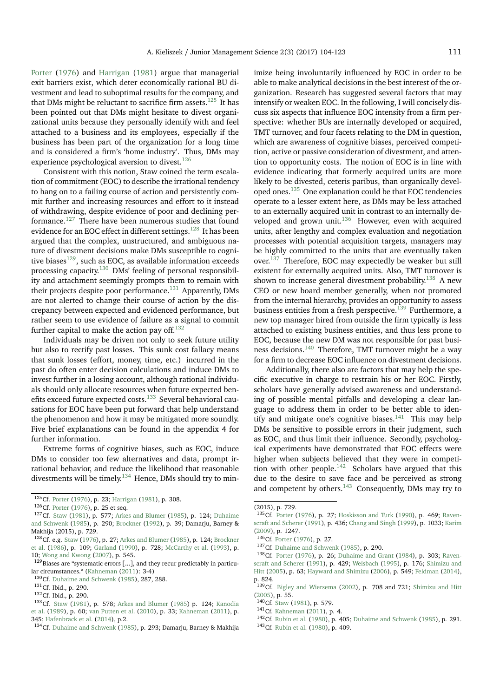[Porter](#page-18-10) [\(1976\)](#page-18-10) and [Harrigan](#page-17-13) [\(1981\)](#page-17-13) argue that managerial exit barriers exist, which deter economically rational BU divestment and lead to suboptimal results for the company, and that DMs might be reluctant to sacrifice firm assets.<sup>[125](#page-7-0)</sup> It has been pointed out that DMs might hesitate to divest organizational units because they personally identify with and feel attached to a business and its employees, especially if the business has been part of the organization for a long time and is considered a firm's 'home industry'. Thus, DMs may experience psychological aversion to divest.  $^{126}\,$  $^{126}\,$  $^{126}\,$ 

Consistent with this notion, Staw coined the term escalation of commitment (EOC) to describe the irrational tendency to hang on to a failing course of action and persistently commit further and increasing resources and effort to it instead of withdrawing, despite evidence of poor and declining performance. $127$  There have been numerous studies that found evidence for an EOC effect in different settings.<sup>[128](#page-7-3)</sup> It has been argued that the complex, unstructured, and ambiguous nature of divestment decisions make DMs susceptible to cognitive biases $^{129}$  $^{129}$  $^{129}$ , such as EOC, as available information exceeds processing capacity.[130](#page-7-5) DMs' feeling of personal responsibility and attachment seemingly prompts them to remain with their projects despite poor performance.<sup>[131](#page-7-6)</sup> Apparently, DMs are not alerted to change their course of action by the discrepancy between expected and evidenced performance, but rather seem to use evidence of failure as a signal to commit further capital to make the action pay off. $132$ 

Individuals may be driven not only to seek future utility but also to rectify past losses. This sunk cost fallacy means that sunk losses (effort, money, time, etc.) incurred in the past do often enter decision calculations and induce DMs to invest further in a losing account, although rational individuals should only allocate resources when future expected ben-efits exceed future expected costs.<sup>[133](#page-7-8)</sup> Several behavioral causations for EOC have been put forward that help understand the phenomenon and how it may be mitigated more soundly. Five brief explanations can be found in the appendix 4 for further information.

Extreme forms of cognitive biases, such as EOC, induce DMs to consider too few alternatives and data, prompt irrational behavior, and reduce the likelihood that reasonable divestments will be timely.[134](#page-7-9) Hence, DMs should try to minimize being involuntarily influenced by EOC in order to be able to make analytical decisions in the best interest of the organization. Research has suggested several factors that may intensify or weaken EOC. In the following, I will concisely discuss six aspects that influence EOC intensity from a firm perspective: whether BUs are internally developed or acquired, TMT turnover, and four facets relating to the DM in question, which are awareness of cognitive biases, perceived competition, active or passive consideration of divestment, and attention to opportunity costs. The notion of EOC is in line with evidence indicating that formerly acquired units are more likely to be divested, ceteris paribus, than organically developed ones.[135](#page-7-10) One explanation could be that EOC tendencies operate to a lesser extent here, as DMs may be less attached to an externally acquired unit in contrast to an internally developed and grown unit. $136$  However, even with acquired units, after lengthy and complex evaluation and negotiation processes with potential acquisition targets, managers may be highly committed to the units that are eventually taken over.[137](#page-7-12) Therefore, EOC may expectedly be weaker but still existent for externally acquired units. Also, TMT turnover is shown to increase general divestment probability.<sup>[138](#page-7-13)</sup> A new CEO or new board member generally, when not promoted from the internal hierarchy, provides an opportunity to assess business entities from a fresh perspective.<sup>[139](#page-7-14)</sup> Furthermore, a new top manager hired from outside the firm typically is less attached to existing business entities, and thus less prone to EOC, because the new DM was not responsible for past busi-ness decisions.<sup>[140](#page-7-15)</sup> Therefore, TMT turnover might be a way for a firm to decrease EOC influence on divestment decisions.

Additionally, there also are factors that may help the specific executive in charge to restrain his or her EOC. Firstly, scholars have generally advised awareness and understanding of possible mental pitfalls and developing a clear language to address them in order to be better able to iden-tify and mitigate one's cognitive biases.<sup>[141](#page-7-16)</sup> This may help DMs be sensitive to possible errors in their judgment, such as EOC, and thus limit their influence. Secondly, psychological experiments have demonstrated that EOC effects were higher when subjects believed that they were in competi-tion with other people.<sup>[142](#page-7-17)</sup> Scholars have argued that this due to the desire to save face and be perceived as strong and competent by others.<sup>[143](#page-7-18)</sup> Consequently, DMs may try to

<span id="page-7-0"></span><sup>125</sup>Cf. [Porter](#page-18-10) [\(1976\)](#page-18-10), p. 23; [Harrigan](#page-17-13) [\(1981\)](#page-17-13), p. 308.

<span id="page-7-2"></span><span id="page-7-1"></span><sup>126</sup>Cf. [Porter](#page-18-10) [\(1976\)](#page-18-10), p. 25 et seq.

<sup>127</sup>Cf. [Staw](#page-18-24) [\(1981\)](#page-18-24), p. 577; [Arkes and Blumer](#page-15-33) [\(1985\)](#page-15-33), p. 124; [Duhaime](#page-16-4) [and Schwenk](#page-16-4) [\(1985\)](#page-16-4), p. 290; [Brockner](#page-15-34) [\(1992\)](#page-15-34), p. 39; Damarju, Barney & Makhija (2015), p. 729.

<span id="page-7-3"></span><sup>128</sup>Cf. e.g. [Staw](#page-18-25) [\(1976\)](#page-18-25), p. 27; [Arkes and Blumer](#page-15-33) [\(1985\)](#page-15-33), p. 124; [Brockner](#page-15-35) [et al.](#page-15-35) [\(1986\)](#page-15-35), p. 109; [Garland](#page-16-28) [\(1990\)](#page-16-28), p. 728; [McCarthy et al.](#page-17-33) [\(1993\)](#page-17-33), p. 10; [Wong and Kwong](#page-19-14) [\(2007\)](#page-19-14), p. 545.

<span id="page-7-4"></span><sup>&</sup>lt;sup>129</sup>Biases are "systematic errors [...], and they recur predictably in particular circumstances." [\(Kahneman](#page-17-34) [\(2011\)](#page-17-34): 3-4)

<span id="page-7-5"></span><sup>130</sup>Cf. [Duhaime and Schwenk](#page-16-4) [\(1985\)](#page-16-4), 287, 288.

<span id="page-7-6"></span><sup>131</sup>Cf. Ibid., p. 290.

<span id="page-7-8"></span><span id="page-7-7"></span><sup>132</sup>Cf. Ibid., p. 290.

<sup>133</sup>Cf. [Staw](#page-18-24) [\(1981\)](#page-18-24), p. 578; [Arkes and Blumer](#page-15-33) [\(1985\)](#page-15-33) p. 124; [Kanodia](#page-17-35) [et al.](#page-17-35) [\(1989\)](#page-17-35), p. 60; [van Putten et al.](#page-19-15) [\(2010\)](#page-19-15), p. 33; [Kahneman](#page-17-34) [\(2011\)](#page-17-34), p. 345; [Hafenbrack et al.](#page-16-29) [\(2014\)](#page-16-29), p.2.

<span id="page-7-9"></span><sup>&</sup>lt;sup>134</sup>Cf. [Duhaime and Schwenk](#page-16-4) [\(1985\)](#page-16-4), p. 293; Damarju, Barney & Makhija

<sup>(2015),</sup> p. 729.

<span id="page-7-10"></span><sup>135</sup>Cf. [Porter](#page-18-10) [\(1976\)](#page-18-10), p. 27; [Hoskisson and Turk](#page-17-36) [\(1990\)](#page-17-36), p. 469; [Raven](#page-18-9)[scraft and Scherer](#page-18-9) [\(1991\)](#page-18-9), p. 436; [Chang and Singh](#page-15-1) [\(1999\)](#page-15-1), p. 1033; [Karim](#page-17-37) [\(2009\)](#page-17-37), p. 1247.

<span id="page-7-11"></span><sup>136</sup>Cf. [Porter](#page-18-10) [\(1976\)](#page-18-10), p. 27.

<span id="page-7-13"></span><span id="page-7-12"></span><sup>137</sup>Cf. [Duhaime and Schwenk](#page-16-4) [\(1985\)](#page-16-4), p. 290.

<sup>138</sup>Cf. [Porter](#page-18-10) [\(1976\)](#page-18-10), p. 26; [Duhaime and Grant](#page-16-3) [\(1984\)](#page-16-3), p. 303; [Raven](#page-18-9)[scraft and Scherer](#page-18-9) [\(1991\)](#page-18-9), p. 429; [Weisbach](#page-19-8) [\(1995\)](#page-19-8), p. 176; [Shimizu and](#page-18-8) [Hitt](#page-18-8) [\(2005\)](#page-18-8), p. 63; [Hayward and Shimizu](#page-17-11) [\(2006\)](#page-17-11), p. 549; [Feldman](#page-16-30) [\(2014\)](#page-16-30), p. 824.

<span id="page-7-14"></span><sup>&</sup>lt;sup>139</sup>Cf. [Bigley and Wiersema](#page-15-36) [\(2002\)](#page-15-36), p. 708 and 721; [Shimizu and Hitt](#page-18-8) [\(2005\)](#page-18-8), p. 55.

<span id="page-7-15"></span><sup>140&</sup>lt;sub>Cf.</sub> [Staw](#page-18-24) [\(1981\)](#page-18-24), p. 579.

<span id="page-7-16"></span><sup>141</sup>Cf. [Kahneman](#page-17-34) [\(2011\)](#page-17-34), p. 4.

<span id="page-7-17"></span><sup>142</sup>Cf. [Rubin et al.](#page-18-26) [\(1980\)](#page-18-26), p. 405; [Duhaime and Schwenk](#page-16-4) [\(1985\)](#page-16-4), p. 291.

<span id="page-7-18"></span><sup>143</sup>Cf. [Rubin et al.](#page-18-26) [\(1980\)](#page-18-26), p. 409.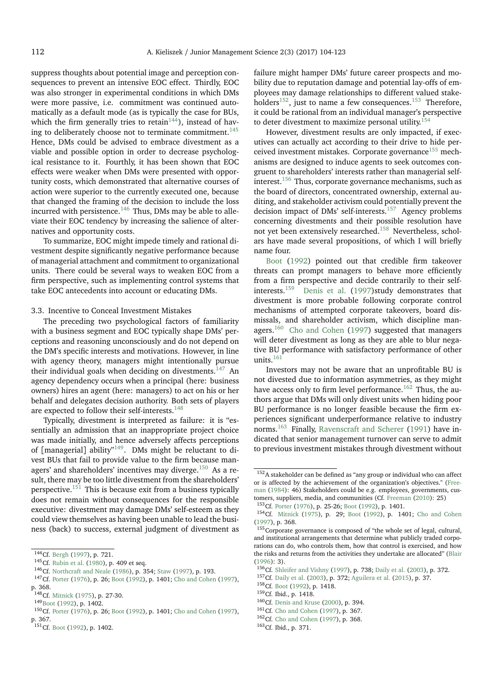suppress thoughts about potential image and perception consequences to prevent an intensive EOC effect. Thirdly, EOC was also stronger in experimental conditions in which DMs were more passive, i.e. commitment was continued automatically as a default mode (as is typically the case for BUs, which the firm generally tries to retain<sup>[144](#page-8-0)</sup>), instead of hav-ing to deliberately choose not to terminate commitment.<sup>[145](#page-8-1)</sup> Hence, DMs could be advised to embrace divestment as a viable and possible option in order to decrease psychological resistance to it. Fourthly, it has been shown that EOC effects were weaker when DMs were presented with opportunity costs, which demonstrated that alternative courses of action were superior to the currently executed one, because that changed the framing of the decision to include the loss incurred with persistence.<sup>[146](#page-8-2)</sup> Thus, DMs may be able to alleviate their EOC tendency by increasing the salience of alternatives and opportunity costs.

To summarize, EOC might impede timely and rational divestment despite significantly negative performance because of managerial attachment and commitment to organizational units. There could be several ways to weaken EOC from a firm perspective, such as implementing control systems that take EOC antecedents into account or educating DMs.

## 3.3. Incentive to Conceal Investment Mistakes

The preceding two psychological factors of familiarity with a business segment and EOC typically shape DMs' perceptions and reasoning unconsciously and do not depend on the DM's specific interests and motivations. However, in line with agency theory, managers might intentionally pursue their individual goals when deciding on divestments.<sup>[147](#page-8-3)</sup> An agency dependency occurs when a principal (here: business owners) hires an agent (here: managers) to act on his or her behalf and delegates decision authority. Both sets of players are expected to follow their self-interests.<sup>[148](#page-8-4)</sup>

Typically, divestment is interpreted as failure: it is "essentially an admission that an inappropriate project choice was made initially, and hence adversely affects perceptions of [managerial] ability<sup> $n149$  $n149$ </sup>. DMs might be reluctant to divest BUs that fail to provide value to the firm because man-agers' and shareholders' incentives may diverge.<sup>[150](#page-8-6)</sup> As a result, there may be too little divestment from the shareholders' perspective.<sup>[151](#page-8-7)</sup> This is because exit from a business typically does not remain without consequences for the responsible executive: divestment may damage DMs' self-esteem as they could view themselves as having been unable to lead the business (back) to success, external judgment of divestment as

<span id="page-8-2"></span><sup>146</sup>Cf. [Northcraft and Neale](#page-18-27) [\(1986\)](#page-18-27), p. 354; [Staw](#page-18-11) [\(1997\)](#page-18-11), p. 193.

failure might hamper DMs' future career prospects and mobility due to reputation damage and potential lay-offs of employees may damage relationships to different valued stake-holders<sup>[152](#page-8-8)</sup>, just to name a few consequences.<sup>[153](#page-8-9)</sup> Therefore, it could be rational from an individual manager's perspective to deter divestment to maximize personal utility.<sup>[154](#page-8-10)</sup>

However, divestment results are only impacted, if executives can actually act according to their drive to hide per-ceived investment mistakes. Corporate governance<sup>[155](#page-8-11)</sup> mechanisms are designed to induce agents to seek outcomes congruent to shareholders' interests rather than managerial selfinterest.[156](#page-8-12) Thus, corporate governance mechanisms, such as the board of directors, concentrated ownership, external auditing, and stakeholder activism could potentially prevent the decision impact of DMs' self-interests.<sup>[157](#page-8-13)</sup> Agency problems concerning divestments and their possible resolution have not yet been extensively researched.[158](#page-8-14) Nevertheless, scholars have made several propositions, of which I will briefly name four.

[Boot](#page-15-37) [\(1992\)](#page-15-37) pointed out that credible firm takeover threats can prompt managers to behave more efficiently from a firm perspective and decide contrarily to their self-<br>interests.<sup>159</sup> Denis et al. (1997)study demonstrates that [Denis et al.](#page-16-31) [\(1997\)](#page-16-31)study demonstrates that divestment is more probable following corporate control mechanisms of attempted corporate takeovers, board dismissals, and shareholder activism, which discipline man-agers.<sup>[160](#page-8-16)</sup> [Cho and Cohen](#page-15-16) [\(1997\)](#page-15-16) suggested that managers will deter divestment as long as they are able to blur negative BU performance with satisfactory performance of other units.<sup>[161](#page-8-17)</sup>

Investors may not be aware that an unprofitable BU is not divested due to information asymmetries, as they might have access only to firm level performance.<sup>[162](#page-8-18)</sup> Thus, the authors argue that DMs will only divest units when hiding poor BU performance is no longer feasible because the firm experiences significant underperformance relative to industry norms.[163](#page-8-19) Finally, [Ravenscraft and Scherer](#page-18-9) [\(1991\)](#page-18-9) have indicated that senior management turnover can serve to admit to previous investment mistakes through divestment without

- <span id="page-8-15"></span><sup>159</sup>Cf. Ibid., p. 1418.
- <span id="page-8-16"></span><sup>160</sup>Cf. [Denis and Kruse](#page-16-35) [\(2000\)](#page-16-35), p. 394.

<span id="page-8-0"></span><sup>144</sup> Cf. [Bergh](#page-15-4) [\(1997\)](#page-15-4), p. 721.

<span id="page-8-1"></span><sup>145</sup>Cf. [Rubin et al.](#page-18-26) [\(1980\)](#page-18-26), p. 409 et seq.

<span id="page-8-3"></span><sup>147</sup>Cf. [Porter](#page-18-10) [\(1976\)](#page-18-10), p. 26; [Boot](#page-15-37) [\(1992\)](#page-15-37), p. 1401; [Cho and Cohen](#page-15-16) [\(1997\)](#page-15-16), p. 368.

<span id="page-8-4"></span><sup>148</sup>Cf. [Mitnick](#page-17-38) [\(1975\)](#page-17-38), p. 27-30.

<span id="page-8-6"></span><span id="page-8-5"></span><sup>149</sup> [Boot](#page-15-37) [\(1992\)](#page-15-37), p. 1402.

<sup>150</sup>Cf. [Porter](#page-18-10) [\(1976\)](#page-18-10), p. 26; [Boot](#page-15-37) [\(1992\)](#page-15-37), p. 1401; [Cho and Cohen](#page-15-16) [\(1997\)](#page-15-16), p. 367.

<span id="page-8-7"></span><sup>151</sup>Cf. [Boot](#page-15-37) [\(1992\)](#page-15-37), p. 1402.

<span id="page-8-8"></span><sup>&</sup>lt;sup>152</sup>A stakeholder can be defined as "any group or individual who can affect or is affected by the achievement of the organization's objectives." [\(Free](#page-16-32)[man](#page-16-32) [\(1984\)](#page-16-32): 46) Stakeholders could be e.g. employees, governments, customers, suppliers, media, and communities (Cf. [Freeman](#page-16-33) [\(2010\)](#page-16-33): 25)

<span id="page-8-9"></span><sup>153</sup>Cf. [Porter](#page-18-10) [\(1976\)](#page-18-10), p. 25-26; [Boot](#page-15-37) [\(1992\)](#page-15-37), p. 1401.

<span id="page-8-10"></span><sup>154</sup>Cf. [Mitnick](#page-17-38) [\(1975\)](#page-17-38), p. 29; [Boot](#page-15-37) [\(1992\)](#page-15-37), p. 1401; [Cho and Cohen](#page-15-16) [\(1997\)](#page-15-16), p. 368.

<span id="page-8-11"></span><sup>&</sup>lt;sup>155</sup>Corporate governance is composed of "the whole set of legal, cultural, and institutional arrangements that determine what publicly traded corporations can do, who controls them, how that control is exercised, and how the risks and returns from the activities they undertake are allocated" [\(Blair](#page-15-38) [\(1996\)](#page-15-38): 3).

<span id="page-8-12"></span><sup>156</sup>Cf. [Shleifer and Vishny](#page-18-28) [\(1997\)](#page-18-28), p. 738; [Daily et al.](#page-16-34) [\(2003\)](#page-16-34), p. 372.

<span id="page-8-13"></span><sup>157</sup>Cf. [Daily et al.](#page-16-34) [\(2003\)](#page-16-34), p. 372; [Aguilera et al.](#page-15-39) [\(2015\)](#page-15-39), p. 37.

<span id="page-8-14"></span><sup>158</sup>Cf. [Boot](#page-15-37) [\(1992\)](#page-15-37), p. 1418.

<span id="page-8-17"></span><sup>161</sup>Cf. [Cho and Cohen](#page-15-16) [\(1997\)](#page-15-16), p. 367.

<span id="page-8-18"></span><sup>162</sup>Cf. [Cho and Cohen](#page-15-16) [\(1997\)](#page-15-16), p. 368.

<span id="page-8-19"></span><sup>163</sup>Cf. Ibid., p. 371.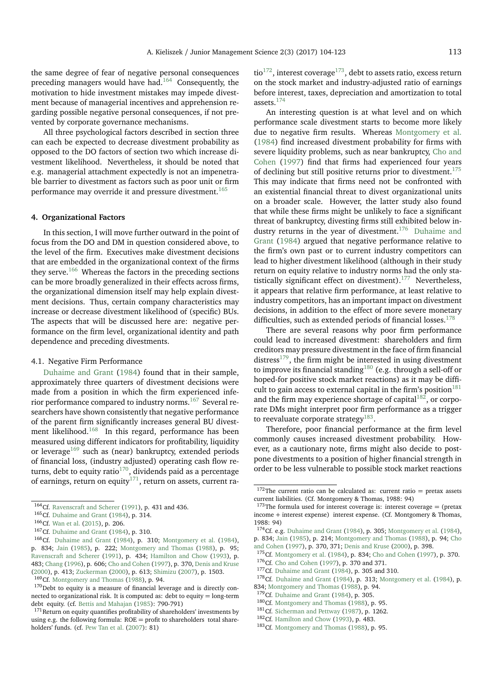the same degree of fear of negative personal consequences preceding managers would have had.[164](#page-9-0) Consequently, the motivation to hide investment mistakes may impede divestment because of managerial incentives and apprehension regarding possible negative personal consequences, if not prevented by corporate governance mechanisms.

All three psychological factors described in section three can each be expected to decrease divestment probability as opposed to the DO factors of section two which increase divestment likelihood. Nevertheless, it should be noted that e.g. managerial attachment expectedly is not an impenetrable barrier to divestment as factors such as poor unit or firm performance may override it and pressure divestment.<sup>[165](#page-9-1)</sup>

#### **4. Organizational Factors**

In this section, I will move further outward in the point of focus from the DO and DM in question considered above, to the level of the firm. Executives make divestment decisions that are embedded in the organizational context of the firms they serve.<sup>[166](#page-9-2)</sup> Whereas the factors in the preceding sections can be more broadly generalized in their effects across firms, the organizational dimension itself may help explain divestment decisions. Thus, certain company characteristics may increase or decrease divestment likelihood of (specific) BUs. The aspects that will be discussed here are: negative performance on the firm level, organizational identity and path dependence and preceding divestments.

#### 4.1. Negative Firm Performance

[Duhaime and Grant](#page-16-3) [\(1984\)](#page-16-3) found that in their sample, approximately three quarters of divestment decisions were made from a position in which the firm experienced inferior performance compared to industry norms.[167](#page-9-3) Several researchers have shown consistently that negative performance of the parent firm significantly increases general BU divest-ment likelihood.<sup>[168](#page-9-4)</sup> In this regard, performance has been measured using different indicators for profitability, liquidity or leverage<sup>[169](#page-9-5)</sup> such as (near) bankruptcy, extended periods of financial loss, (industry adjusted) operating cash flow re-turns, debt to equity ratio<sup>[170](#page-9-6)</sup>, dividends paid as a percentage of earnings, return on equity<sup>[171](#page-9-7)</sup>, return on assets, current ratio<sup>[172](#page-9-8)</sup>, interest coverage<sup>[173](#page-9-9)</sup>, debt to assets ratio, excess return on the stock market and industry-adjusted ratio of earnings before interest, taxes, depreciation and amortization to total assets.[174](#page-9-10)

An interesting question is at what level and on which performance scale divestment starts to become more likely due to negative firm results. Whereas [Montgomery et al.](#page-18-29) [\(1984\)](#page-18-29) find increased divestment probability for firms with severe liquidity problems, such as near bankruptcy, [Cho and](#page-15-16) [Cohen](#page-15-16) [\(1997\)](#page-15-16) find that firms had experienced four years of declining but still positive returns prior to divestment.<sup>[175](#page-9-11)</sup> This may indicate that firms need not be confronted with an existential financial threat to divest organizational units on a broader scale. However, the latter study also found that while these firms might be unlikely to face a significant threat of bankruptcy, divesting firms still exhibited below in-dustry returns in the year of divestment.<sup>[176](#page-9-12)</sup> [Duhaime and](#page-16-3) [Grant](#page-16-3) [\(1984\)](#page-16-3) argued that negative performance relative to the firm's own past or to current industry competitors can lead to higher divestment likelihood (although in their study return on equity relative to industry norms had the only statistically significant effect on divestment). $177$  Nevertheless, it appears that relative firm performance, at least relative to industry competitors, has an important impact on divestment decisions, in addition to the effect of more severe monetary difficulties, such as extended periods of financial losses.<sup>[178](#page-9-14)</sup>

There are several reasons why poor firm performance could lead to increased divestment: shareholders and firm creditors may pressure divestment in the face of firm financial distress<sup>[179](#page-9-15)</sup>, the firm might be interested in using divestment to improve its financial standing<sup>[180](#page-9-16)</sup> (e.g. through a sell-off or hoped-for positive stock market reactions) as it may be diffi-cult to gain access to external capital in the firm's position<sup>[181](#page-9-17)</sup> and the firm may experience shortage of capital $182$ , or corporate DMs might interpret poor firm performance as a trigger to reevaluate corporate strategy $^{183}$  $^{183}$  $^{183}$ .

Therefore, poor financial performance at the firm level commonly causes increased divestment probability. However, as a cautionary note, firms might also decide to postpone divestments to a position of higher financial strength in order to be less vulnerable to possible stock market reactions

- <sup>178</sup>Cf. [Duhaime and Grant](#page-16-3) [\(1984\)](#page-18-29), p. 313; [Montgomery et al.](#page-18-29) (1984), p. 834; [Montgomery and Thomas](#page-17-40) [\(1988\)](#page-17-40), p. 94.
- <span id="page-9-15"></span><sup>179</sup>Cf. [Duhaime and Grant](#page-16-3) [\(1984\)](#page-16-3), p. 305.

<span id="page-9-0"></span><sup>164</sup>Cf. [Ravenscraft and Scherer](#page-18-9) [\(1991\)](#page-18-9), p. 431 and 436.

<span id="page-9-1"></span><sup>165</sup>Cf. [Duhaime and Grant](#page-16-3) [\(1984\)](#page-16-3), p. 314.

<span id="page-9-2"></span><sup>166</sup>Cf. [Wan et al.](#page-19-6) [\(2015\)](#page-19-6), p. 206.

<span id="page-9-3"></span><sup>167</sup>Cf. [Duhaime and Grant](#page-16-3) [\(1984\)](#page-16-3), p. 310.

<span id="page-9-4"></span><sup>168</sup>Cf. [Duhaime and Grant](#page-16-3) [\(1984\)](#page-16-3), p. 310; [Montgomery et al.](#page-18-29) [\(1984\)](#page-18-29), p. 834; [Jain](#page-17-39) [\(1985\)](#page-17-39), p. 222; [Montgomery and Thomas](#page-17-40) [\(1988\)](#page-17-40), p. 95; [Ravenscraft and Scherer](#page-18-9) [\(1991\)](#page-18-9), p. 434; [Hamilton and Chow](#page-17-10) [\(1993\)](#page-17-10), p. 483; [Chang](#page-15-15) [\(1996\)](#page-15-15), p. 606; [Cho and Cohen](#page-15-16) [\(1997\)](#page-15-16), p. 370, [Denis and Kruse](#page-16-35) [\(2000\)](#page-16-35), p. 413; [Zuckerman](#page-19-7) [\(2000\)](#page-19-7), p. 613; [Shimizu](#page-18-4) [\(2007\)](#page-18-4), p. 1503.

<span id="page-9-5"></span><sup>169</sup>Cf. [Montgomery and Thomas](#page-17-40) [\(1988\)](#page-17-40), p. 94.

<span id="page-9-6"></span> $170$  Debt to equity is a measure of financial leverage and is directly connected to organizational risk. It is computed as: debt to equity = long-term debt equity. (cf. [Bettis and Mahajan](#page-15-40) [\(1985\)](#page-15-40): 790-791)

<span id="page-9-7"></span> $171$ Return on equity quantifies profitability of shareholders' investments by using e.g. the following formula:  $ROE = profit$  to shareholders total shareholders' funds. (cf. [Pew Tan et al.](#page-18-30) [\(2007\)](#page-18-30): 81)

<span id="page-9-8"></span> $172$ The current ratio can be calculated as: current ratio = pretax assets current liabilities. (Cf. Montgomery & Thomas, 1988: 94)

<span id="page-9-9"></span><sup>&</sup>lt;sup>173</sup>The formula used for interest coverage is: interest coverage  $=$  (pretax income + interest expense) interest expense. (Cf. Montgomery & Thomas, 1988: 94)

<span id="page-9-10"></span><sup>&</sup>lt;sup>174</sup>Cf. e.g. [Duhaime and Grant](#page-16-3) [\(1984\)](#page-18-29), p. 305; [Montgomery et al.](#page-18-29) (1984), p. 834; [Jain](#page-17-39) [\(1985\)](#page-17-39), p. 214; [Montgomery and Thomas](#page-17-40) [\(1988\)](#page-17-40), p. 94; [Cho](#page-15-16)

[and Cohen](#page-15-16) [\(1997\)](#page-15-16), p. 370, 371; [Denis and Kruse](#page-16-35) [\(2000\)](#page-16-35), p. 398.

<span id="page-9-12"></span><span id="page-9-11"></span><sup>175</sup>Cf. [Montgomery et al.](#page-18-29) [\(1984\)](#page-18-29), p. 834; [Cho and Cohen](#page-15-16) [\(1997\)](#page-15-16), p. 370. <sup>176</sup>Cf. [Cho and Cohen](#page-15-16) [\(1997\)](#page-15-16), p. 370 and 371.

<span id="page-9-14"></span><span id="page-9-13"></span><sup>177</sup>Cf. [Duhaime and Grant](#page-16-3) [\(1984\)](#page-16-3), p. 305 and 310.

<span id="page-9-16"></span><sup>180</sup>Cf. [Montgomery and Thomas](#page-17-40) [\(1988\)](#page-17-40), p. 95.

<span id="page-9-17"></span><sup>181</sup> Cf. [Sicherman and Pettway](#page-18-31) [\(1987\)](#page-18-31), p. 1262.

<span id="page-9-18"></span><sup>182</sup>Cf. [Hamilton and Chow](#page-17-10) [\(1993\)](#page-17-10), p. 483.

<span id="page-9-19"></span><sup>&</sup>lt;sup>183</sup>Cf. [Montgomery and Thomas](#page-17-40) [\(1988\)](#page-17-40), p. 95.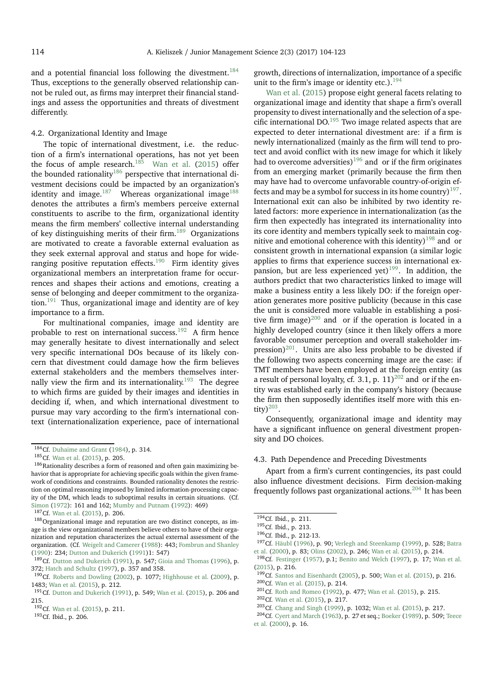and a potential financial loss following the divestment.<sup>[184](#page-10-0)</sup> Thus, exceptions to the generally observed relationship cannot be ruled out, as firms may interpret their financial standings and assess the opportunities and threats of divestment differently.

## 4.2. Organizational Identity and Image

The topic of international divestment, i.e. the reduction of a firm's international operations, has not yet been the focus of ample research.<sup>[185](#page-10-1)</sup> [Wan et al.](#page-19-6) [\(2015\)](#page-19-6) offer the bounded rationality<sup>[186](#page-10-2)</sup> perspective that international divestment decisions could be impacted by an organization's identity and image. $187$  Whereas organizational image<sup>[188](#page-10-4)</sup> denotes the attributes a firm's members perceive external constituents to ascribe to the firm, organizational identity means the firm members' collective internal understanding of key distinguishing merits of their firm.<sup>[189](#page-10-5)</sup> Organizations are motivated to create a favorable external evaluation as they seek external approval and status and hope for wide-ranging positive reputation effects.<sup>[190](#page-10-6)</sup> Firm identity gives organizational members an interpretation frame for occurrences and shapes their actions and emotions, creating a sense of belonging and deeper commitment to the organization.[191](#page-10-7) Thus, organizational image and identity are of key importance to a firm.

For multinational companies, image and identity are probable to rest on international success.<sup>[192](#page-10-8)</sup> A firm hence may generally hesitate to divest internationally and select very specific international DOs because of its likely concern that divestment could damage how the firm believes external stakeholders and the members themselves inter-nally view the firm and its internationality.<sup>[193](#page-10-9)</sup> The degree to which firms are guided by their images and identities in deciding if, when, and which international divestment to pursue may vary according to the firm's international context (internationalization experience, pace of international

<span id="page-10-4"></span><span id="page-10-3"></span><sup>187</sup>Cf. [Wan et al.](#page-19-6) [\(2015\)](#page-19-6), p. 206.

<sup>188</sup>Organizational image and reputation are two distinct concepts, as image is the view organizational members believe others to have of their organization and reputation characterizes the actual external assessment of the organization. (Cf. [Weigelt and Camerer](#page-19-16) [\(1988\)](#page-19-16): 443; [Fombrun and Shanley](#page-16-36) [\(1990\)](#page-16-36): 234; [Dutton and Dukerich](#page-16-37) [\(1991\)](#page-16-37)1: 547)

<span id="page-10-5"></span>189 Cf. [Dutton and Dukerich](#page-16-37) [\(1991\)](#page-16-37), p. 547; [Gioia and Thomas](#page-16-38) [\(1996\)](#page-16-38), p. 372; [Hatch and Schultz](#page-17-41) [\(1997\)](#page-17-41), p. 357 and 358.

growth, directions of internalization, importance of a specific unit to the firm's image or identity etc.).<sup>19</sup>

[Wan et al.](#page-19-6) [\(2015\)](#page-19-6) propose eight general facets relating to organizational image and identity that shape a firm's overall propensity to divest internationally and the selection of a specific international DO.[195](#page-10-11) Two image related aspects that are expected to deter international divestment are: if a firm is newly internationalized (mainly as the firm will tend to protect and avoid conflict with its new image for which it likely had to overcome adversities)<sup>[196](#page-10-12)</sup> and or if the firm originates from an emerging market (primarily because the firm then may have had to overcome unfavorable country-of-origin ef-fects and may be a symbol for success in its home country)<sup>[197](#page-10-13)</sup>. International exit can also be inhibited by two identity related factors: more experience in internationalization (as the firm then expectedly has integrated its internationality into its core identity and members typically seek to maintain cog-nitive and emotional coherence with this identity)<sup>[198](#page-10-14)</sup> and or consistent growth in international expansion (a similar logic applies to firms that experience success in international ex-pansion, but are less experienced yet)<sup>[199](#page-10-15)</sup>. In addition, the authors predict that two characteristics linked to image will make a business entity a less likely DO: if the foreign operation generates more positive publicity (because in this case the unit is considered more valuable in establishing a positive firm image) $^{200}$  $^{200}$  $^{200}$  and or if the operation is located in a highly developed country (since it then likely offers a more favorable consumer perception and overall stakeholder im-pression)<sup>[201](#page-10-17)</sup>. Units are also less probable to be divested if the following two aspects concerning image are the case: if TMT members have been employed at the foreign entity (as a result of personal loyalty, cf. 3.1, p.  $11)^{202}$  $11)^{202}$  $11)^{202}$  and or if the entity was established early in the company's history (because the firm then supposedly identifies itself more with this entity) $^{203}$  $^{203}$  $^{203}$ .

Consequently, organizational image and identity may have a significant influence on general divestment propensity and DO choices.

## 4.3. Path Dependence and Preceding Divestments

Apart from a firm's current contingencies, its past could also influence divestment decisions. Firm decision-making frequently follows past organizational actions.<sup>[204](#page-10-20)</sup> It has been

[et al.](#page-18-38) [\(2000\)](#page-18-38), p. 16.

<span id="page-10-0"></span><sup>&</sup>lt;sup>184</sup>Cf. [Duhaime and Grant](#page-16-3) [\(1984\)](#page-16-3), p. 314.

<span id="page-10-2"></span><span id="page-10-1"></span><sup>185</sup>Cf. [Wan et al.](#page-19-6) [\(2015\)](#page-19-6), p. 205.

 $^{186}\rm{Rationality$  describes a form of reasoned and often gain maximizing behavior that is appropriate for achieving specific goals within the given framework of conditions and constraints. Bounded rationality denotes the restriction on optimal reasoning imposed by limited information-processing capacity of the DM, which leads to suboptimal results in certain situations. (Cf. [Simon](#page-18-32) [\(1972\)](#page-18-32): 161 and 162; [Mumby and Putnam](#page-18-33) [\(1992\)](#page-18-33): 469)

<span id="page-10-6"></span> $190$ Cf. [Roberts and Dowling](#page-18-34) [\(2002\)](#page-18-34), p. 1077; [Highhouse et al.](#page-17-42) [\(2009\)](#page-17-42), p. 1483; [Wan et al.](#page-19-6) [\(2015\)](#page-19-6), p. 212.

<span id="page-10-7"></span><sup>191</sup>Cf. [Dutton and Dukerich](#page-16-37) [\(1991\)](#page-16-37), p. 549; [Wan et al.](#page-19-6) [\(2015\)](#page-19-6), p. 206 and 215.

<span id="page-10-8"></span><sup>192</sup>Cf. [Wan et al.](#page-19-6) [\(2015\)](#page-19-6), p. 211.

<span id="page-10-9"></span><sup>193</sup>Cf. Ibid., p. 206.

<span id="page-10-10"></span><sup>194</sup>Cf. Ibid., p. 211.

<span id="page-10-11"></span><sup>195</sup>Cf. Ibid., p. 213.

<span id="page-10-12"></span><sup>196</sup>Cf. Ibid., p. 212-13.

<span id="page-10-13"></span><sup>197</sup>Cf. [Häubl](#page-17-43) [\(1996\)](#page-17-43), p. 90; [Verlegh and Steenkamp](#page-19-17) [\(1999\)](#page-19-17), p. 528; [Batra](#page-15-41) [et al.](#page-15-41) [\(2000\)](#page-15-41), p. 83; [Olins](#page-18-35) [\(2002\)](#page-18-35), p. 246; [Wan et al.](#page-19-6) [\(2015\)](#page-19-6), p. 214.

<span id="page-10-14"></span><sup>198</sup>Cf. [Festinger](#page-16-39) [\(1957\)](#page-16-39), p.1; [Benito and Welch](#page-15-42) [\(1997\)](#page-15-42), p. 17; [Wan et al.](#page-19-6) [\(2015\)](#page-19-6), p. 216.

<span id="page-10-15"></span><sup>199</sup>Cf. [Santos and Eisenhardt](#page-18-36) [\(2005\)](#page-18-36), p. 500; [Wan et al.](#page-19-6) [\(2015\)](#page-19-6), p. 216.

<span id="page-10-16"></span><sup>200</sup>Cf. [Wan et al.](#page-19-6) [\(2015\)](#page-19-6), p. 214.

<span id="page-10-17"></span><sup>201</sup>Cf. [Roth and Romeo](#page-18-37) [\(1992\)](#page-18-37), p. 477; [Wan et al.](#page-19-6) [\(2015\)](#page-19-6), p. 215.

<span id="page-10-18"></span><sup>202</sup>Cf. [Wan et al.](#page-19-6) [\(2015\)](#page-19-6), p. 217.

<span id="page-10-20"></span><span id="page-10-19"></span><sup>203</sup>Cf. [Chang and Singh](#page-15-1) [\(1999\)](#page-15-1), p. 1032; [Wan et al.](#page-19-6) [\(2015\)](#page-19-6), p. 217. <sup>204</sup>Cf. [Cyert and March](#page-16-40) [\(1963\)](#page-16-40), p. 27 et seq.; [Boeker](#page-15-43) [\(1989\)](#page-15-43), p. 509; [Teece](#page-18-38)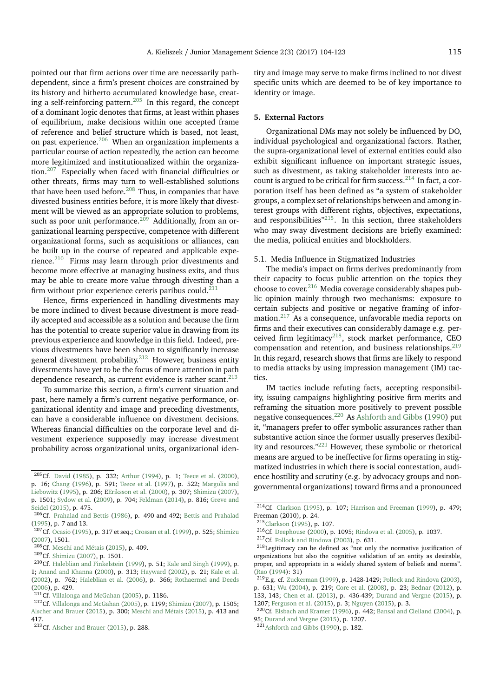pointed out that firm actions over time are necessarily pathdependent, since a firm's present choices are constrained by its history and hitherto accumulated knowledge base, creat-ing a self-reinforcing pattern.<sup>[205](#page-11-0)</sup> In this regard, the concept of a dominant logic denotes that firms, at least within phases of equilibrium, make decisions within one accepted frame of reference and belief structure which is based, not least, on past experience.<sup>[206](#page-11-1)</sup> When an organization implements a particular course of action repeatedly, the action can become more legitimized and institutionalized within the organization.[207](#page-11-2) Especially when faced with financial difficulties or other threats, firms may turn to well-established solutions that have been used before. $208$  Thus, in companies that have divested business entities before, it is more likely that divestment will be viewed as an appropriate solution to problems, such as poor unit performance. $209$  Additionally, from an organizational learning perspective, competence with different organizational forms, such as acquisitions or alliances, can be built up in the course of repeated and applicable experience. $210$  Firms may learn through prior divestments and become more effective at managing business exits, and thus may be able to create more value through divesting than a firm without prior experience ceteris paribus could.<sup>[211](#page-11-6)</sup>

Hence, firms experienced in handling divestments may be more inclined to divest because divestment is more readily accepted and accessible as a solution and because the firm has the potential to create superior value in drawing from its previous experience and knowledge in this field. Indeed, previous divestments have been shown to significantly increase general divestment probability.[212](#page-11-7) However, business entity divestments have yet to be the focus of more attention in path dependence research, as current evidence is rather scant. $^{213}$  $^{213}$  $^{213}$ 

To summarize this section, a firm's current situation and past, here namely a firm's current negative performance, organizational identity and image and preceding divestments, can have a considerable influence on divestment decisions. Whereas financial difficulties on the corporate level and divestment experience supposedly may increase divestment probability across organizational units, organizational identity and image may serve to make firms inclined to not divest specific units which are deemed to be of key importance to identity or image.

## **5. External Factors**

Organizational DMs may not solely be influenced by DO, individual psychological and organizational factors. Rather, the supra-organizational level of external entities could also exhibit significant influence on important strategic issues, such as divestment, as taking stakeholder interests into account is argued to be critical for firm success. $^{214}$  $^{214}$  $^{214}$  In fact, a corporation itself has been defined as "a system of stakeholder groups, a complex set of relationships between and among interest groups with different rights, objectives, expectations, and responsibilities"<sup>[215](#page-11-10)</sup>. In this section, three stakeholders who may sway divestment decisions are briefly examined: the media, political entities and blockholders.

5.1. Media Influence in Stigmatized Industries

The media's impact on firms derives predominantly from their capacity to focus public attention on the topics they choose to cover.[216](#page-11-11) Media coverage considerably shapes public opinion mainly through two mechanisms: exposure to certain subjects and positive or negative framing of infor-mation.<sup>[217](#page-11-12)</sup> As a consequence, unfavorable media reports on firms and their executives can considerably damage e.g. perceived firm legitimacy $^{218}$  $^{218}$  $^{218}$ , stock market performance, CEO compensation and retention, and business relationships. $219$ In this regard, research shows that firms are likely to respond to media attacks by using impression management (IM) tactics.

IM tactics include refuting facts, accepting responsibility, issuing campaigns highlighting positive firm merits and reframing the situation more positively to prevent possible negative consequences.[220](#page-11-15) As [Ashforth and Gibbs](#page-15-48) [\(1990\)](#page-15-48) put it, "managers prefer to offer symbolic assurances rather than substantive action since the former usually preserves flexibility and resources."[221](#page-11-16) However, these symbolic or rhetorical means are argued to be ineffective for firms operating in stigmatized industries in which there is social contestation, audience hostility and scrutiny (e.g. by advocacy groups and nongovernmental organizations) toward firms and a pronounced

<span id="page-11-0"></span><sup>205</sup>Cf. [David](#page-16-41) [\(1985\)](#page-16-41), p. 332; [Arthur](#page-15-44) [\(1994\)](#page-15-44), p. 1; [Teece et al.](#page-18-38) [\(2000\)](#page-18-38), p. 16; [Chang](#page-15-15) [\(1996\)](#page-15-15), p. 591; [Teece et al.](#page-18-39) [\(1997\)](#page-18-39), p. 522; [Margolis and](#page-17-44) [Liebowitz](#page-17-44) [\(1995\)](#page-17-44), p. 206; [EEriksson et al.](#page-16-42) [\(2000\)](#page-16-42), p. 307; [Shimizu](#page-18-4) [\(2007\)](#page-18-4),

p. 1501; [Sydow et al.](#page-18-40) [\(2009\)](#page-18-40), p. 704; [Feldman](#page-16-30) [\(2014\)](#page-16-30), p. 816; [Greve and](#page-16-43) [Seidel](#page-16-43) [\(2015\)](#page-16-43), p. 475.

<span id="page-11-1"></span><sup>206</sup>Cf. [Prahalad and Bettis](#page-18-41) [\(1986\)](#page-18-41), p. 490 and 492; [Bettis and Prahalad](#page-15-45) [\(1995\)](#page-15-45), p. 7 and 13.

<span id="page-11-2"></span><sup>&</sup>lt;sup>207</sup>Cf. [Ocasio](#page-18-42) [\(1995\)](#page-18-42), p. 317 et seq.; [Crossan et al.](#page-16-44) [\(1999\)](#page-16-44), p. 525; [Shimizu](#page-18-4) [\(2007\)](#page-18-4), 1501.

<span id="page-11-3"></span><sup>208</sup>Cf. [Meschi and Métais](#page-17-45) [\(2015\)](#page-17-45), p. 409.

<span id="page-11-4"></span><sup>209</sup>Cf. [Shimizu](#page-18-4) [\(2007\)](#page-18-4), p. 1501.

<span id="page-11-5"></span><sup>210</sup>Cf. [Haleblian and Finkelstein](#page-16-45) [\(1999\)](#page-16-45), p. 51; [Kale and Singh](#page-17-46) [\(1999\)](#page-17-46), p. 1; [Anand and Khanna](#page-15-46) [\(2000\)](#page-15-46), p. 313; [Hayward](#page-17-47) [\(2002\)](#page-17-47), p. 21; [Kale et al.](#page-17-48) [\(2002\)](#page-17-48), p. 762; [Haleblian et al.](#page-16-46) [\(2006\)](#page-16-46), p. 366; [Rothaermel and Deeds](#page-18-43) [\(2006\)](#page-18-43), p. 429.

<span id="page-11-6"></span> $2^{11}$ Cf. [Villalonga and McGahan](#page-19-18) [\(2005\)](#page-19-18), p. 1186.

<span id="page-11-7"></span><sup>212</sup>Cf. [Villalonga and McGahan](#page-19-18) [\(2005\)](#page-19-18), p. 1199; [Shimizu](#page-18-4) [\(2007\)](#page-18-4), p. 1505; [Alscher and Brauer](#page-15-47) [\(2015\)](#page-15-47), p. 300; [Meschi and Métais](#page-17-45) [\(2015\)](#page-17-45), p. 413 and 417.

<span id="page-11-8"></span><sup>213</sup>Cf. [Alscher and Brauer](#page-15-47) [\(2015\)](#page-15-47), p. 288.

<span id="page-11-9"></span><sup>214</sup>Cf. [Clarkson](#page-16-47) [\(1995\)](#page-16-47), p. 107; [Harrison and Freeman](#page-17-49) [\(1999\)](#page-17-49), p. 479; Freeman (2010), p. 24.

<span id="page-11-10"></span><sup>215</sup>[Clarkson](#page-16-47) [\(1995\)](#page-16-47), p. 107.

<span id="page-11-11"></span><sup>216</sup>Cf. [Deephouse](#page-16-48) [\(2000\)](#page-16-48), p. 1095; [Rindova et al.](#page-18-44) [\(2005\)](#page-18-44), p. 1037.

<span id="page-11-13"></span><span id="page-11-12"></span><sup>217</sup>Cf. [Pollock and Rindova](#page-18-45) [\(2003\)](#page-18-45), p. 631.

<sup>218</sup>Legitimacy can be defined as "not only the normative justification of organizations but also the cognitive validation of an entity as desirable, proper, and appropriate in a widely shared system of beliefs and norms". [\(Rao](#page-18-46) [\(1994\)](#page-18-46): 31)

<span id="page-11-14"></span><sup>219</sup>E.g. cf. [Zuckerman](#page-19-19) [\(1999\)](#page-19-19), p. 1428-1429; [Pollock and Rindova](#page-18-45) [\(2003\)](#page-18-45), p. 631; [Wu](#page-19-20) [\(2004\)](#page-19-20), p. 219; [Core et al.](#page-16-49) [\(2008\)](#page-16-49), p. 23; [Bednar](#page-15-49) [\(2012\)](#page-15-49), p. 133, 143; [Chen et al.](#page-15-50) [\(2013\)](#page-15-50), p. 436-439; [Durand and Vergne](#page-16-6) [\(2015\)](#page-16-6), p. 1207; [Ferguson et al.](#page-16-50) [\(2015\)](#page-16-50), p. 3; [Nguyen](#page-18-47) [\(2015\)](#page-18-47), p. 3.

<span id="page-11-15"></span><sup>220</sup>Cf. [Elsbach and Kramer](#page-16-51) [\(1996\)](#page-16-51), p. 442; [Bansal and Clelland](#page-15-51) [\(2004\)](#page-15-51), p. 95; [Durand and Vergne](#page-16-6) [\(2015\)](#page-16-6), p. 1207.

<span id="page-11-16"></span><sup>221</sup>[Ashforth and Gibbs](#page-15-48) [\(1990\)](#page-15-48), p. 182.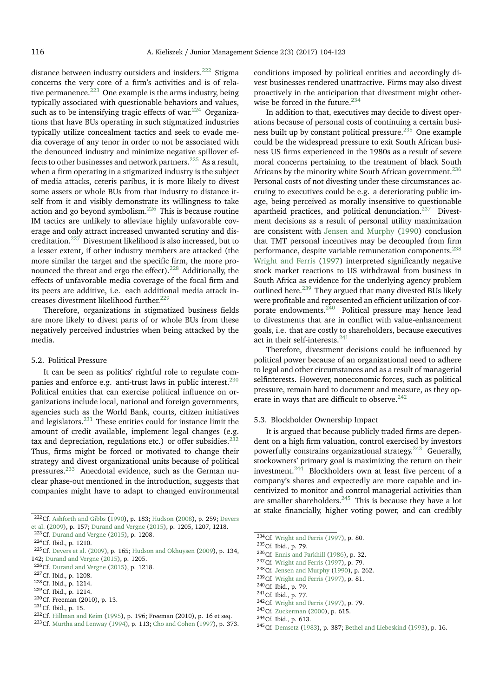distance between industry outsiders and insiders.<sup>[222](#page-12-0)</sup> Stigma concerns the very core of a firm's activities and is of relative permanence. $223$  One example is the arms industry, being typically associated with questionable behaviors and values, such as to be intensifying tragic effects of war. $224$  Organizations that have BUs operating in such stigmatized industries typically utilize concealment tactics and seek to evade media coverage of any tenor in order to not be associated with the denounced industry and minimize negative spillover ef-fects to other businesses and network partners.<sup>[225](#page-12-3)</sup> As a result, when a firm operating in a stigmatized industry is the subject of media attacks, ceteris paribus, it is more likely to divest some assets or whole BUs from that industry to distance itself from it and visibly demonstrate its willingness to take action and go beyond symbolism.[226](#page-12-4) This is because routine IM tactics are unlikely to alleviate highly unfavorable coverage and only attract increased unwanted scrutiny and discreditation.[227](#page-12-5) Divestment likelihood is also increased, but to a lesser extent, if other industry members are attacked (the more similar the target and the specific firm, the more pro-nounced the threat and ergo the effect).<sup>[228](#page-12-6)</sup> Additionally, the effects of unfavorable media coverage of the focal firm and its peers are additive, i.e. each additional media attack in-creases divestment likelihood further.<sup>[229](#page-12-7)</sup>

Therefore, organizations in stigmatized business fields are more likely to divest parts of or whole BUs from these negatively perceived industries when being attacked by the media.

## 5.2. Political Pressure

It can be seen as politics' rightful role to regulate com-panies and enforce e.g. anti-trust laws in public interest.<sup>[230](#page-12-8)</sup> Political entities that can exercise political influence on organizations include local, national and foreign governments, agencies such as the World Bank, courts, citizen initiatives and legislators.[231](#page-12-9) These entities could for instance limit the amount of credit available, implement legal changes (e.g. tax and depreciation, regulations etc.) or offer subsidies. $232$ Thus, firms might be forced or motivated to change their strategy and divest organizational units because of political pressures.[233](#page-12-11) Anecdotal evidence, such as the German nuclear phase-out mentioned in the introduction, suggests that companies might have to adapt to changed environmental

conditions imposed by political entities and accordingly divest businesses rendered unattractive. Firms may also divest proactively in the anticipation that divestment might otherwise be forced in the future. $234$ 

In addition to that, executives may decide to divest operations because of personal costs of continuing a certain busi-ness built up by constant political pressure.<sup>[235](#page-12-13)</sup> One example could be the widespread pressure to exit South African business US firms experienced in the 1980s as a result of severe moral concerns pertaining to the treatment of black South Africans by the minority white South African government.<sup>[236](#page-12-14)</sup> Personal costs of not divesting under these circumstances accruing to executives could be e.g. a deteriorating public image, being perceived as morally insensitive to questionable apartheid practices, and political denunciation.[237](#page-12-15) Divestment decisions as a result of personal utility maximization are consistent with [Jensen and Murphy](#page-17-53) [\(1990\)](#page-17-53) conclusion that TMT personal incentives may be decoupled from firm performance, despite variable remuneration components.<sup>[238](#page-12-16)</sup> [Wright and Ferris](#page-19-21) [\(1997\)](#page-19-21) interpreted significantly negative stock market reactions to US withdrawal from business in South Africa as evidence for the underlying agency problem outlined here.<sup>[239](#page-12-17)</sup> They argued that many divested BUs likely were profitable and represented an efficient utilization of corporate endowments. $240$  Political pressure may hence lead to divestments that are in conflict with value-enhancement goals, i.e. that are costly to shareholders, because executives act in their self-interests.<sup>[241](#page-12-19)</sup>

Therefore, divestment decisions could be influenced by political power because of an organizational need to adhere to legal and other circumstances and as a result of managerial selfinterests. However, noneconomic forces, such as political pressure, remain hard to document and measure, as they op-erate in ways that are difficult to observe.<sup>[242](#page-12-20)</sup>

## 5.3. Blockholder Ownership Impact

It is argued that because publicly traded firms are dependent on a high firm valuation, control exercised by investors powerfully constrains organizational strategy. $243$  Generally, stockowners' primary goal is maximizing the return on their investment.[244](#page-12-22) Blockholders own at least five percent of a company's shares and expectedly are more capable and incentivized to monitor and control managerial activities than are smaller shareholders.<sup>[245](#page-12-23)</sup> This is because they have a lot at stake financially, higher voting power, and can credibly

<span id="page-12-0"></span><sup>&</sup>lt;sup>222</sup>Cf. [Ashforth and Gibbs](#page-15-48) [\(1990\)](#page-15-48), p. 183; [Hudson](#page-17-50) [\(2008\)](#page-17-50), p. 259; [Devers](#page-16-52) [et al.](#page-16-52) [\(2009\)](#page-16-52), p. 157; [Durand and Vergne](#page-16-6) [\(2015\)](#page-16-6), p. 1205, 1207, 1218.

<span id="page-12-1"></span> $223$  Cf. [Durand and Vergne](#page-16-6) [\(2015\)](#page-16-6), p. 1208.

<span id="page-12-2"></span><sup>224</sup>Cf. Ibid., p. 1210.

<span id="page-12-3"></span><sup>225</sup>Cf. [Devers et al.](#page-16-52) [\(2009\)](#page-16-52), p. 165; [Hudson and Okhuysen](#page-17-51) [\(2009\)](#page-17-51), p. 134, 142; [Durand and Vergne](#page-16-6) [\(2015\)](#page-16-6), p. 1205.

<span id="page-12-4"></span><sup>&</sup>lt;sup>226</sup>Cf. [Durand and Vergne](#page-16-6) [\(2015\)](#page-16-6), p. 1218.

<span id="page-12-5"></span><sup>227</sup>Cf. Ibid., p. 1208.

<span id="page-12-6"></span><sup>228</sup>Cf. Ibid., p. 1214.

<span id="page-12-7"></span><sup>229</sup>Cf. Ibid., p. 1214.

<span id="page-12-8"></span><sup>230</sup>Cf. Freeman (2010), p. 13.

<span id="page-12-9"></span><sup>231</sup>Cf. Ibid., p. 15.

<span id="page-12-10"></span><sup>232</sup>Cf. [Hillman and Keim](#page-17-52) [\(1995\)](#page-17-52), p. 196; Freeman (2010), p. 16 et seq.

<span id="page-12-11"></span><sup>233</sup>Cf. [Murtha and Lenway](#page-18-48) [\(1994\)](#page-18-48), p. 113; [Cho and Cohen](#page-15-16) [\(1997\)](#page-15-16), p. 373.

<span id="page-12-12"></span> $\overline{^{234}}$ Cf. [Wright and Ferris](#page-19-21) [\(1997\)](#page-19-21), p. 80.

<span id="page-12-13"></span><sup>235</sup>Cf. Ibid., p. 79.

<span id="page-12-14"></span><sup>236</sup>Cf. [Ennis and Parkhill](#page-16-53) [\(1986\)](#page-16-53), p. 32.

<span id="page-12-15"></span><sup>237</sup>Cf. [Wright and Ferris](#page-19-21) [\(1997\)](#page-19-21), p. 79.

<span id="page-12-16"></span><sup>238</sup>Cf. [Jensen and Murphy](#page-17-53) [\(1990\)](#page-17-53), p. 262.

<span id="page-12-17"></span><sup>239</sup>Cf. [Wright and Ferris](#page-19-21) [\(1997\)](#page-19-21), p. 81.

<span id="page-12-18"></span><sup>240</sup>Cf. Ibid., p. 79.

<span id="page-12-19"></span><sup>241</sup>Cf. Ibid., p. 77.

<span id="page-12-20"></span>

<sup>242</sup>Cf. [Wright and Ferris](#page-19-21) [\(1997\)](#page-19-21), p. 79. <sup>243</sup>Cf. [Zuckerman](#page-19-7) [\(2000\)](#page-19-7), p. 615.

<span id="page-12-22"></span><span id="page-12-21"></span>

<sup>244</sup>Cf. Ibid., p. 613.

<span id="page-12-23"></span><sup>245</sup>Cf. [Demsetz](#page-16-54) [\(1983\)](#page-16-54), p. 387; [Bethel and Liebeskind](#page-15-52) [\(1993\)](#page-15-52), p. 16.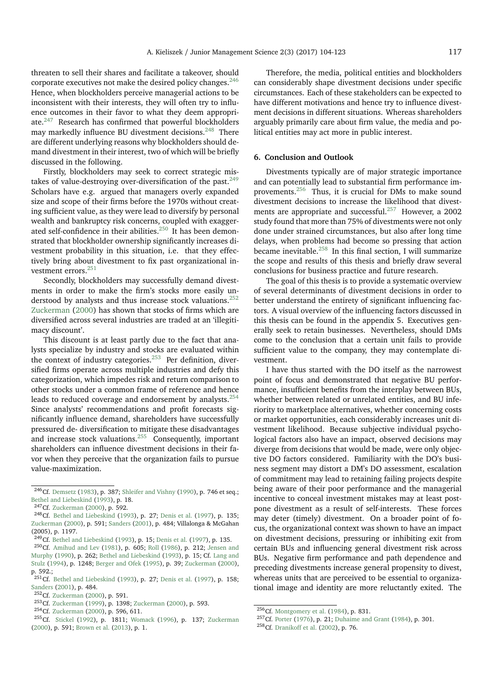threaten to sell their shares and facilitate a takeover, should corporate executives not make the desired policy changes.<sup>[246](#page-13-0)</sup> Hence, when blockholders perceive managerial actions to be inconsistent with their interests, they will often try to influence outcomes in their favor to what they deem appropriate.[247](#page-13-1) Research has confirmed that powerful blockholders may markedly influence BU divestment decisions.<sup>[248](#page-13-2)</sup> There are different underlying reasons why blockholders should demand divestment in their interest, two of which will be briefly discussed in the following.

Firstly, blockholders may seek to correct strategic mis-takes of value-destroying over-diversification of the past.<sup>[249](#page-13-3)</sup> Scholars have e.g. argued that managers overly expanded size and scope of their firms before the 1970s without creating sufficient value, as they were lead to diversify by personal wealth and bankruptcy risk concerns, coupled with exagger-ated self-confidence in their abilities.<sup>[250](#page-13-4)</sup> It has been demonstrated that blockholder ownership significantly increases divestment probability in this situation, i.e. that they effectively bring about divestment to fix past organizational in-vestment errors.<sup>[251](#page-13-5)</sup>

Secondly, blockholders may successfully demand divestments in order to make the firm's stocks more easily un-derstood by analysts and thus increase stock valuations.<sup>[252](#page-13-6)</sup> [Zuckerman](#page-19-7) [\(2000\)](#page-19-7) has shown that stocks of firms which are diversified across several industries are traded at an 'illegitimacy discount'.

This discount is at least partly due to the fact that analysts specialize by industry and stocks are evaluated within the context of industry categories.<sup>[253](#page-13-7)</sup> Per definition, diversified firms operate across multiple industries and defy this categorization, which impedes risk and return comparison to other stocks under a common frame of reference and hence leads to reduced coverage and endorsement by analysts.<sup>[254](#page-13-8)</sup> Since analysts' recommendations and profit forecasts significantly influence demand, shareholders have successfully pressured de- diversification to mitigate these disadvantages and increase stock valuations.[255](#page-13-9) Consequently, important shareholders can influence divestment decisions in their favor when they perceive that the organization fails to pursue value-maximization.

Therefore, the media, political entities and blockholders can considerably shape divestment decisions under specific circumstances. Each of these stakeholders can be expected to have different motivations and hence try to influence divestment decisions in different situations. Whereas shareholders arguably primarily care about firm value, the media and political entities may act more in public interest.

## **6. Conclusion and Outlook**

Divestments typically are of major strategic importance and can potentially lead to substantial firm performance improvements.[256](#page-13-10) Thus, it is crucial for DMs to make sound divestment decisions to increase the likelihood that divest-ments are appropriate and successful.<sup>[257](#page-13-11)</sup> However, a 2002 study found that more than 75% of divestments were not only done under strained circumstances, but also after long time delays, when problems had become so pressing that action became inevitable.[258](#page-13-12) In this final section, I will summarize the scope and results of this thesis and briefly draw several conclusions for business practice and future research.

The goal of this thesis is to provide a systematic overview of several determinants of divestment decisions in order to better understand the entirety of significant influencing factors. A visual overview of the influencing factors discussed in this thesis can be found in the appendix 5. Executives generally seek to retain businesses. Nevertheless, should DMs come to the conclusion that a certain unit fails to provide sufficient value to the company, they may contemplate divestment.

I have thus started with the DO itself as the narrowest point of focus and demonstrated that negative BU performance, insufficient benefits from the interplay between BUs, whether between related or unrelated entities, and BU inferiority to marketplace alternatives, whether concerning costs or market opportunities, each considerably increases unit divestment likelihood. Because subjective individual psychological factors also have an impact, observed decisions may diverge from decisions that would be made, were only objective DO factors considered. Familiarity with the DO's business segment may distort a DM's DO assessment, escalation of commitment may lead to retaining failing projects despite being aware of their poor performance and the managerial incentive to conceal investment mistakes may at least postpone divestment as a result of self-interests. These forces may deter (timely) divestment. On a broader point of focus, the organizational context was shown to have an impact on divestment decisions, pressuring or inhibiting exit from certain BUs and influencing general divestment risk across BUs. Negative firm performance and path dependence and preceding divestments increase general propensity to divest, whereas units that are perceived to be essential to organizational image and identity are more reluctantly exited. The

<span id="page-13-0"></span><sup>246</sup>Cf. [Demsetz](#page-16-54) [\(1983\)](#page-16-54), p. 387; [Shleifer and Vishny](#page-18-49) [\(1990\)](#page-18-49), p. 746 et seq.; [Bethel and Liebeskind](#page-15-52) [\(1993\)](#page-15-52), p. 18.

<span id="page-13-2"></span><span id="page-13-1"></span><sup>247</sup>Cf. [Zuckerman](#page-19-7) [\(2000\)](#page-19-7), p. 592.

<sup>248</sup>Cf. [Bethel and Liebeskind](#page-15-52) [\(1993\)](#page-15-52), p. 27; [Denis et al.](#page-16-31) [\(1997\)](#page-16-31), p. 135; [Zuckerman](#page-19-7) [\(2000\)](#page-19-7), p. 591; [Sanders](#page-18-50) [\(2001\)](#page-18-50), p. 484; Villalonga & McGahan (2005), p. 1197.

<span id="page-13-4"></span><span id="page-13-3"></span><sup>249</sup>Cf. [Bethel and Liebeskind](#page-15-52) [\(1993\)](#page-15-52), p. 15; [Denis et al.](#page-16-31) [\(1997\)](#page-16-31), p. 135.

<sup>250</sup>Cf. [Amihud and Lev](#page-15-19) [\(1981\)](#page-15-19), p. 605; [Roll](#page-18-51) [\(1986\)](#page-18-51), p. 212; [Jensen and](#page-17-53) [Murphy](#page-17-53) [\(1990\)](#page-17-53), p. 262; [Bethel and Liebeskind](#page-15-52) [\(1993\)](#page-15-52), p. 15; Cf. [Lang and](#page-17-54) [Stulz](#page-17-54) [\(1994\)](#page-17-54), p. 1248; [Berger and Ofek](#page-15-53) [\(1995\)](#page-15-53), p. 39; [Zuckerman](#page-19-7) [\(2000\)](#page-19-7), p. 592.;

<span id="page-13-5"></span> $^{251}$ Cf. [Bethel and Liebeskind](#page-15-52) [\(1993\)](#page-15-52), p. 27; [Denis et al.](#page-16-31) [\(1997\)](#page-16-31), p. 158; [Sanders](#page-18-50) [\(2001\)](#page-18-50), p. 484.

<span id="page-13-6"></span><sup>252</sup>Cf. [Zuckerman](#page-19-7) [\(2000\)](#page-19-7), p. 591.

<span id="page-13-7"></span><sup>253</sup>Cf. [Zuckerman](#page-19-19) [\(1999\)](#page-19-19), p. 1398; [Zuckerman](#page-19-7) [\(2000\)](#page-19-7), p. 593.

<span id="page-13-8"></span><sup>254</sup>Cf. [Zuckerman](#page-19-7) [\(2000\)](#page-19-7), p. 596, 611.

<span id="page-13-9"></span><sup>255</sup>Cf. [Stickel](#page-18-52) [\(1992\)](#page-18-52), p. 1811; [Womack](#page-19-22) [\(1996\)](#page-19-22), p. 137; [Zuckerman](#page-19-7) [\(2000\)](#page-19-7), p. 591; [Brown et al.](#page-15-54) [\(2013\)](#page-15-54), p. 1.

<span id="page-13-11"></span><span id="page-13-10"></span><sup>256</sup>Cf. [Montgomery et al.](#page-18-29) [\(1984\)](#page-18-29), p. 831.

<sup>257</sup>Cf. [Porter](#page-18-10) [\(1976\)](#page-18-10), p. 21; [Duhaime and Grant](#page-16-3) [\(1984\)](#page-16-3), p. 301.

<span id="page-13-12"></span><sup>258</sup>Cf. [Dranikoff et al.](#page-16-55) [\(2002\)](#page-16-55), p. 76.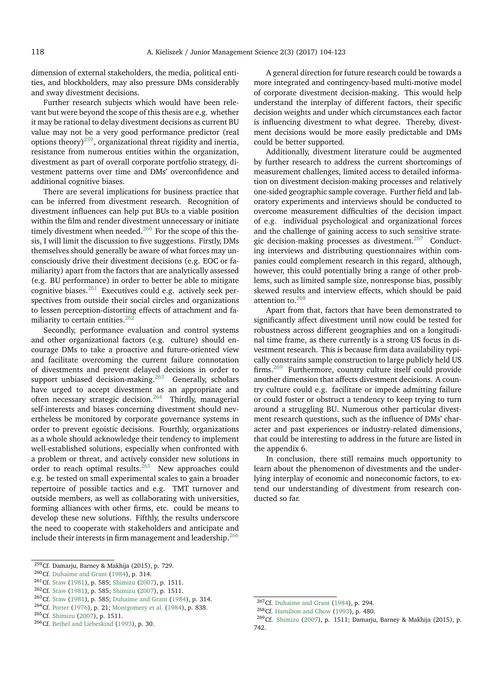dimension of external stakeholders, the media, political entities, and blockholders, may also pressure DMs considerably and sway divestment decisions.

Further research subjects which would have been relevant but were beyond the scope of this thesis are e.g. whether it may be rational to delay divestment decisions as current BU value may not be a very good performance predictor (real options theory)<sup>[259](#page-14-0)</sup>, organizational threat rigidity and inertia, resistance from numerous entities within the organization, divestment as part of overall corporate portfolio strategy, divestment patterns over time and DMs' overconfidence and additional cognitive biases.

There are several implications for business practice that can be inferred from divestment research. Recognition of divestment influences can help put BUs to a viable position within the film and render divestment unnecessary or initiate timely divestment when needed. $^{260}$  $^{260}$  $^{260}$  For the scope of this thesis, I will limit the discussion to five suggestions. Firstly, DMs themselves should generally be aware of what forces may unconsciously drive their divestment decisions (e.g. EOC or familiarity) apart from the factors that are analytically assessed (e.g. BU performance) in order to better be able to mitigate cognitive biases.[261](#page-14-2) Executives could e.g. actively seek perspectives from outside their social circles and organizations to lessen perception-distorting effects of attachment and familiarity to certain entities. $262$ 

Secondly, performance evaluation and control systems and other organizational factors (e.g. culture) should encourage DMs to take a proactive and future-oriented view and facilitate overcoming the current failure connotation of divestments and prevent delayed decisions in order to support unbiased decision-making.<sup>[263](#page-14-4)</sup> Generally, scholars have urged to accept divestment as an appropriate and often necessary strategic decision.[264](#page-14-5) Thirdly, managerial self-interests and biases concerning divestment should nevertheless be monitored by corporate governance systems in order to prevent egoistic decisions. Fourthly, organizations as a whole should acknowledge their tendency to implement well-established solutions, especially when confronted with a problem or threat, and actively consider new solutions in order to reach optimal results.<sup>[265](#page-14-6)</sup> New approaches could e.g. be tested on small experimental scales to gain a broader repertoire of possible tactics and e.g. TMT turnover and outside members, as well as collaborating with universities, forming alliances with other firms, etc. could be means to develop these new solutions. Fifthly, the results underscore the need to cooperate with stakeholders and anticipate and include their interests in firm management and leadership.<sup>[266](#page-14-7)</sup>

<span id="page-14-4"></span><sup>263</sup>Cf. [Staw](#page-18-24) [\(1981\)](#page-18-24), p. 585; [Duhaime and Grant](#page-16-3) [\(1984\)](#page-16-3), p. 314.

A general direction for future research could be towards a more integrated and contingency-based multi-motive model of corporate divestment decision-making. This would help understand the interplay of different factors, their specific decision weights and under which circumstances each factor is influencing divestment to what degree. Thereby, divestment decisions would be more easily predictable and DMs could be better supported.

Additionally, divestment literature could be augmented by further research to address the current shortcomings of measurement challenges, limited access to detailed information on divestment decision-making processes and relatively one-sided geographic sample coverage. Further field and laboratory experiments and interviews should be conducted to overcome measurement difficulties of the decision impact of e.g. individual psychological and organizational forces and the challenge of gaining access to such sensitive strate-gic decision-making processes as divestment.<sup>[267](#page-14-8)</sup> Conducting interviews and distributing questionnaires within companies could complement research in this regard, although, however, this could potentially bring a range of other problems, such as limited sample size, nonresponse bias, possibly skewed results and interview effects, which should be paid attention to.[268](#page-14-9)

Apart from that, factors that have been demonstrated to significantly affect divestment until now could be tested for robustness across different geographies and on a longitudinal time frame, as there currently is a strong US focus in divestment research. This is because firm data availability typically constrains sample construction to large publicly held US firms.[269](#page-14-10) Furthermore, country culture itself could provide another dimension that affects divestment decisions. A country culture could e.g. facilitate or impede admitting failure or could foster or obstruct a tendency to keep trying to turn around a struggling BU. Numerous other particular divestment research questions, such as the influence of DMs' character and past experiences or industry-related dimensions, that could be interesting to address in the future are listed in the appendix 6.

In conclusion, there still remains much opportunity to learn about the phenomenon of divestments and the underlying interplay of economic and noneconomic factors, to extend our understanding of divestment from research conducted so far.

<span id="page-14-0"></span><sup>&</sup>lt;sup>259</sup>Cf. Damarju, Barney & Makhija (2015), p. 729.

<span id="page-14-1"></span><sup>260</sup>Cf. [Duhaime and Grant](#page-16-3) [\(1984\)](#page-16-3), p. 314.

<span id="page-14-2"></span><sup>261</sup>Cf. [Staw](#page-18-24) [\(1981\)](#page-18-24), p. 585; [Shimizu](#page-18-4) [\(2007\)](#page-18-4), p. 1511.

<span id="page-14-3"></span><sup>262</sup>Cf. [Staw](#page-18-24) [\(1981\)](#page-18-24), p. 585; [Shimizu](#page-18-4) [\(2007\)](#page-18-4), p. 1511.

<span id="page-14-5"></span><sup>264</sup>Cf. [Porter](#page-18-10) [\(1976\)](#page-18-10), p. 21; [Montgomery et al.](#page-18-29) [\(1984\)](#page-18-29), p. 838.

<span id="page-14-6"></span><sup>265</sup>Cf. [Shimizu](#page-18-4) [\(2007\)](#page-18-4), p. 1511.

<span id="page-14-7"></span><sup>266</sup>Cf. [Bethel and Liebeskind](#page-15-52) [\(1993\)](#page-15-52), p. 30.

<span id="page-14-8"></span> $267$ Cf. [Duhaime and Grant](#page-16-3) [\(1984\)](#page-16-3), p. 294.

<span id="page-14-10"></span><span id="page-14-9"></span><sup>268</sup>Cf. [Hamilton and Chow](#page-17-10) [\(1993\)](#page-17-10), p. 480.

<sup>269</sup>Cf. [Shimizu](#page-18-4) [\(2007\)](#page-18-4), p. 1511; Damarju, Barney & Makhija (2015), p. 742.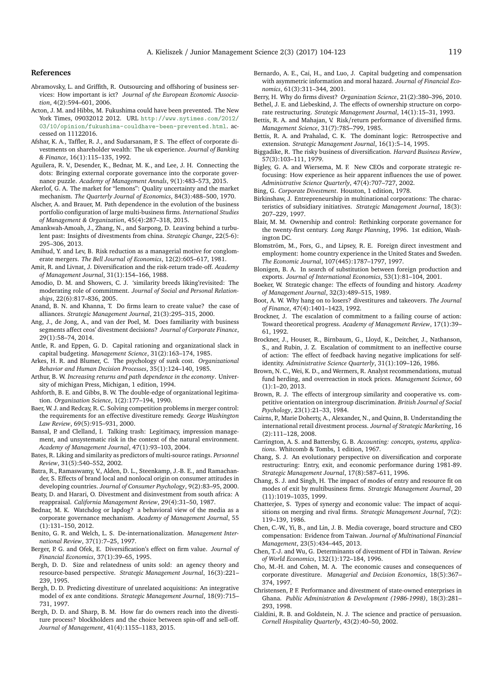#### **References**

- <span id="page-15-22"></span>Abramovsky, L. and Griffith, R. Outsourcing and offshoring of business services: How important is ict? *Journal of the European Economic Association*, 4(2):594–601, 2006.
- <span id="page-15-0"></span>Acton, J. M. and Hibbs, M. Fukushima could have been prevented. The New York Times, 09032012 2012. URL [http://www.nytimes.com/2012/](http://www.nytimes.com/2012/03/10/opinion/fukushima-couldhave-been-prevented.html) [03/10/opinion/fukushima-couldhave-been-prevented.html](http://www.nytimes.com/2012/03/10/opinion/fukushima-couldhave-been-prevented.html). accessed on 11122016.
- <span id="page-15-11"></span>Afshar, K. A., Taffler, R. J., and Sudarsanam, P. S. The effect of corporate divestments on shareholder wealth: The uk experience. *Journal of Banking & Finance*, 16(1):115–135, 1992.
- <span id="page-15-39"></span>Aguilera, R. V., Desender, K., Bednar, M. K., and Lee, J. H. Connecting the dots: Bringing external corporate governance into the corporate governance puzzle. *Academy of Management Annals*, 9(1):483–573, 2015.
- <span id="page-15-30"></span>Akerlof, G. A. The market for "lemons": Quality uncertainty and the market mechanism. *The Quarterly Journal of Economics*, 84(3):488–500, 1970.
- <span id="page-15-47"></span>Alscher, A. and Brauer, M. Path dependence in the evolution of the business portfolio configuration of large multi-business firms. *International Studies of Management & Organization*, 45(4):287–318, 2015.
- <span id="page-15-9"></span>Amankwah-Amoah, J., Zhang, N., and Sarpong, D. Leaving behind a turbulent past: Insights of divestments from china. *Strategic Change*, 22(5-6): 295–306, 2013.
- <span id="page-15-19"></span>Amihud, Y. and Lev, B. Risk reduction as a managerial motive for conglomerate mergers. *The Bell Journal of Economics*, 12(2):605–617, 1981.
- <span id="page-15-20"></span>Amit, R. and Livnat, J. Diversification and the risk-return trade-off. *Academy of Management Journal*, 31(1):154–166, 1988.
- <span id="page-15-29"></span>Amodio, D. M. and Showers, C. J. 'similarity breeds liking'revisited: The moderating role of commitment. *Journal of Social and Personal Relationships*, 22(6):817–836, 2005.
- <span id="page-15-46"></span>Anand, B. N. and Khanna, T. Do firms learn to create value? the case of alliances. *Strategic Management Journal*, 21(3):295–315, 2000.
- <span id="page-15-5"></span>Ang, J., de Jong, A., and van der Poel, M. Does familiarity with business segments affect ceos' divestment decisions? *Journal of Corporate Finance*, 29(1):58–74, 2014.
- <span id="page-15-31"></span>Antle, R. and Eppen, G. D. Capital rationing and organizational slack in capital budgeting. *Management Science*, 31(2):163–174, 1985.
- <span id="page-15-33"></span>Arkes, H. R. and Blumer, C. The psychology of sunk cost. *Organizational Behavior and Human Decision Processes*, 35(1):124–140, 1985.
- <span id="page-15-44"></span>Arthur, B. W. *Increasing returns and path dependence in the economy*. University of michigan Press, Michigan, 1 edition, 1994.
- <span id="page-15-48"></span>Ashforth, B. E. and Gibbs, B. W. The double-edge of organizational legitimation. *Organization Science*, 1(2):177–194, 1990.
- <span id="page-15-12"></span>Baer, W. J. and Redcay, R. C. Solving competition problems in merger control: the requirements for an effective divestiture remedy. *George Washington Law Review*, 69(5):915–931, 2000.
- <span id="page-15-51"></span>Bansal, P. and Clelland, I. Talking trash: Legitimacy, impression management, and unsystematic risk in the context of the natural environment. *Academy of Management Journal*, 47(1):93–103, 2004.
- <span id="page-15-27"></span>Bates, R. Liking and similarity as predictors of multi-source ratings. *Personnel Review*, 31(5):540–552, 2002.
- <span id="page-15-41"></span>Batra, R., Ramaswamy, V., Alden, D. L., Steenkamp, J.-B. E., and Ramachander, S. Effects of brand local and nonlocal origin on consumer attitudes in developing countries. *Journal of Consumer Psychology*, 9(2):83–95, 2000.
- <span id="page-15-7"></span>Beaty, D. and Harari, O. Divestment and disinvestment from south africa: A reappraisal. *California Management Review*, 29(4):31–50, 1987.
- <span id="page-15-49"></span>Bednar, M. K. Watchdog or lapdog? a behavioral view of the media as a corporate governance mechanism. *Academy of Management Journal*, 55 (1):131–150, 2012.
- <span id="page-15-42"></span>Benito, G. R. and Welch, L. S. De-internationalization. *Management International Review*, 37(1):7–25, 1997.
- <span id="page-15-53"></span>Berger, P. G. and Ofek, E. Diversification's effect on firm value. *Journal of Financial Economics*, 37(1):39–65, 1995.
- <span id="page-15-14"></span>Bergh, D. D. Size and relatedness of units sold: an agency theory and resource-based perspective. *Strategic Management Journal*, 16(3):221– 239, 1995.
- <span id="page-15-4"></span>Bergh, D. D. Predicting divestiture of unrelated acquisitions: An integrative model of ex ante conditions. *Strategic Management Journal*, 18(9):715– 731, 1997.
- <span id="page-15-10"></span>Bergh, D. D. and Sharp, B. M. How far do owners reach into the divestiture process? blockholders and the choice between spin-off and sell-off. *Journal of Management*, 41(4):1155–1183, 2015.
- <span id="page-15-32"></span>Bernardo, A. E., Cai, H., and Luo, J. Capital budgeting and compensation with asymmetric information and moral hazard. *Journal of Financial Economics*, 61(3):311–344, 2001.
- <span id="page-15-52"></span><span id="page-15-21"></span>Berry, H. Why do firms divest? *Organization Science*, 21(2):380–396, 2010. Bethel, J. E. and Liebeskind, J. The effects of ownership structure on corpo-
- <span id="page-15-40"></span>rate restructuring. *Strategic Management Journal*, 14(1):15–31, 1993. Bettis, R. A. and Mahajan, V. Risk/return performance of diversified firms.
- *Management Science*, 31(7):785–799, 1985.
- <span id="page-15-45"></span>Bettis, R. A. and Prahalad, C. K. The dominant logic: Retrospective and extension. *Strategic Management Journal*, 16(1):5–14, 1995.
- <span id="page-15-2"></span>Biggadike, R. The risky business of diversification. *Harvard Business Review*, 57(3):103–111, 1979.
- <span id="page-15-36"></span>Bigley, G. A. and Wiersema, M. F. New CEOs and corporate strategic refocusing: How experience as heir apparent influences the use of power. *Administrative Science Quarterly*, 47(4):707–727, 2002.
- <span id="page-15-17"></span>Bing, G. *Corporate Divestment*. Houston, 1 edition, 1978.
- <span id="page-15-3"></span>Birkinshaw, J. Entrepreneurship in multinational corporations: The characteristics of subsidiary initiatives. *Strategic Management Journal*, 18(3): 207–229, 1997.
- <span id="page-15-38"></span>Blair, M. M. Ownership and control: Rethinking corporate governance for the twenty-first century. *Long Range Planning*, 1996. 1st edition, Washington DC.
- <span id="page-15-24"></span>Blomström, M., Fors, G., and Lipsey, R. E. Foreign direct investment and employment: home country experience in the United States and Sweden. *The Economic Journal*, 107(445):1787–1797, 1997.
- <span id="page-15-23"></span>Blonigen, B. A. In search of substitution between foreign production and exports. *Journal of International Economics*, 53(1):81–104, 2001.
- <span id="page-15-43"></span>Boeker, W. Strategic change: The effects of founding and history. *Academy of Management Journal*, 32(3):489–515, 1989.
- <span id="page-15-37"></span>Boot, A. W. Why hang on to losers? divestitures and takeovers. *The Journal of Finance*, 47(4):1401–1423, 1992.
- <span id="page-15-34"></span>Brockner, J. The escalation of commitment to a failing course of action: Toward theoretical progress. *Academy of Management Review*, 17(1):39– 61, 1992.
- <span id="page-15-35"></span>Brockner, J., Houser, R., Birnbaum, G., Lloyd, K., Deitcher, J., Nathanson, S., and Rubin, J. Z. Escalation of commitment to an ineffective course of action: The effect of feedback having negative implications for selfidentity. *Administrative Science Quarterly*, 31(1):109–126, 1986.
- <span id="page-15-54"></span>Brown, N. C., Wei, K. D., and Wermers, R. Analyst recommendations, mutual fund herding, and overreaction in stock prices. *Management Science*, 60 (1):1–20, 2013.
- <span id="page-15-26"></span>Brown, R. J. The effects of intergroup similarity and cooperative vs. competitive orientation on intergroup discrimination. *British Journal of Social Psychology*, 23(1):21–33, 1984.
- <span id="page-15-6"></span>Cairns, P., Marie Doherty, A., Alexander, N., and Quinn, B. Understanding the international retail divestment process. *Journal of Strategic Marketing*, 16 (2):111–128, 2008.
- <span id="page-15-25"></span>Carrington, A. S. and Battersby, G. B. *Accounting: concepts, systems, applications*. Whitcomb & Tombs, 1 edition, 1967.
- <span id="page-15-15"></span>Chang, S. J. An evolutionary perspective on diversification and corporate restructuring: Entry, exit, and economic performance during 1981-89. *Strategic Management Journal*, 17(8):587–611, 1996.
- <span id="page-15-1"></span>Chang, S. J. and Singh, H. The impact of modes of entry and resource fit on modes of exit by multibusiness firms. *Strategic Management Journal*, 20 (11):1019–1035, 1999.
- <span id="page-15-18"></span>Chatterjee, S. Types of synergy and economic value: The impact of acquisitions on merging and rival firms. *Strategic Management Journal*, 7(2): 119–139, 1986.
- <span id="page-15-50"></span>Chen, C.-W., Yi, B., and Lin, J. B. Media coverage, board structure and CEO compensation: Evidence from Taiwan. *Journal of Multinational Financial Management*, 23(5):434–445, 2013.
- <span id="page-15-8"></span>Chen, T.-J. and Wu, G. Determinants of divestment of FDI in Taiwan. *Review of World Economics*, 132(1):172–184, 1996.
- <span id="page-15-16"></span>Cho, M.-H. and Cohen, M. A. The economic causes and consequences of corporate divestiture. *Managerial and Decision Economics*, 18(5):367– 374, 1997.
- <span id="page-15-13"></span>Christensen, P. F. Performance and divestment of state-owned enterprises in Ghana. *Public Administration & Development (1986-1998)*, 18(3):281– 293, 1998.
- <span id="page-15-28"></span>Cialdini, R. B. and Goldstein, N. J. The science and practice of persuasion. *Cornell Hospitality Quarterly*, 43(2):40–50, 2002.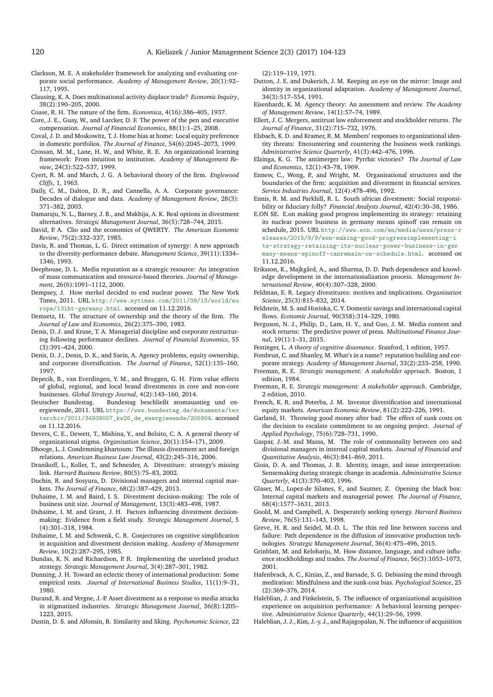- <span id="page-16-47"></span>Clarkson, M. E. A stakeholder framework for analyzing and evaluating corporate social performance. *Academy of Management Review*, 20(1):92– 117, 1995.
- <span id="page-16-16"></span>Clausing, K. A. Does multinational activity displace trade? *Economic Inquiry*, 38(2):190–205, 2000.
- <span id="page-16-23"></span>Coase, R. H. The nature of the firm. *Economica*, 4(16):386–405, 1937.
- <span id="page-16-49"></span>Core, J. E., Guay, W., and Larcker, D. F. The power of the pen and executive compensation. *Journal of Financial Economics*, 88(1):1–25, 2008.
- <span id="page-16-20"></span>Coval, J. D. and Moskowitz, T. J. Home bias at home: Local equity preference in domestic portfolios. *The Journal of Finance*, 54(6):2045–2073, 1999.
- <span id="page-16-44"></span>Crossan, M. M., Lane, H. W., and White, R. E. An organizational learning framework: From intuition to institution. *Academy of Management Review*, 24(3):522–537, 1999.
- <span id="page-16-40"></span>Cyert, R. M. and March, J. G. A behavioral theory of the firm. *Englewood Cliffs*, 1, 1963.
- <span id="page-16-34"></span>Daily, C. M., Dalton, D. R., and Cannella, A. A. Corporate governance: Decades of dialogue and data. *Academy of Management Review*, 28(3): 371–382, 2003.
- <span id="page-16-5"></span>Damaraju, N. L., Barney, J. B., and Makhija, A. K. Real options in divestment alternatives. *Strategic Management Journal*, 36(5):728–744, 2015.
- <span id="page-16-41"></span>David, P. A. Clio and the economics of QWERTY. *The American Economic Review*, 75(2):332–337, 1985.
- <span id="page-16-13"></span>Davis, R. and Thomas, L. G. Direct estimation of synergy: A new approach to the diversity-performance debate. *Management Science*, 39(11):1334– 1346, 1993.
- <span id="page-16-48"></span>Deephouse, D. L. Media reputation as a strategic resource: An integration of mass communication and resource-based theories. *Journal of Management*, 26(6):1091–1112, 2000.
- <span id="page-16-1"></span>Dempsey, J. How merkel decided to end nuclear power. The New York Times, 2011. URL [http://www.nytimes.com/2011/08/13/world/eu](http://www.nytimes.com/2011/08/13/world/europe/13iht-germany.html) [rope/13iht-germany.html](http://www.nytimes.com/2011/08/13/world/europe/13iht-germany.html). accessed on 11.12.2016.
- <span id="page-16-54"></span>Demsetz, H. The structure of ownership and the theory of the firm. *The Journal of Law and Economics*, 26(2):375–390, 1983.
- <span id="page-16-35"></span>Denis, D. J. and Kruse, T. A. Managerial discipline and corporate restructuring following performance declines. *Journal of Financial Economics*, 55 (3):391–424, 2000.
- <span id="page-16-31"></span>Denis, D. J., Denis, D. K., and Sarin, A. Agency problems, equity ownership, and corporate diversification. *The Journal of Finance*, 52(1):135–160, 1997.
- <span id="page-16-8"></span>Depecik, B., van Everdingen, Y. M., and Bruggen, G. H. Firm value effects of global, regional, and local brand divestments in core and non-core businesses. *Global Strategy Journal*, 4(2):143–160, 2014.
- <span id="page-16-0"></span>Deutscher Bundestag. Bundestag beschließt atomausstieg und energiewende, 2011. URL [https://www.bundestag.de/dokumente/tex](https://www.bundestag.de/dokumente/textarchiv/2011/34938007_kw26_de_energiewende/205804) [tarchiv/2011/34938007\\_kw26\\_de\\_energiewende/205804](https://www.bundestag.de/dokumente/textarchiv/2011/34938007_kw26_de_energiewende/205804). accessed on 11.12.2016.
- <span id="page-16-52"></span>Devers, C. E., Dewett, T., Mishina, Y., and Belsito, C. A. A general theory of organizational stigma. *Organization Science*, 20(1):154–171, 2009.
- <span id="page-16-10"></span>Dhooge, L. J. Condemning khartoum: The illinois divestment act and foreign relations. *American Business Law Journal*, 43(2):245–316, 2006.
- <span id="page-16-55"></span>Dranikoff, L., Koller, T., and Schneider, A. Divestiture: strategy's missing link. *Harvard Business Review*, 80(5):75–83, 2002.
- <span id="page-16-26"></span>Duchin, R. and Sosyura, D. Divisional managers and internal capital markets. *The Journal of Finance*, 68(2):387–429, 2013.
- <span id="page-16-11"></span>Duhaime, I. M. and Baird, I. S. Divestment decision-making: The role of business unit size. *Journal of Management*, 13(3):483–498, 1987.
- <span id="page-16-3"></span>Duhaime, I. M. and Grant, J. H. Factors influencing divestment decisionmaking: Evidence from a field study. *Strategic Management Journal*, 5 (4):301–318, 1984.
- <span id="page-16-4"></span>Duhaime, I. M. and Schwenk, C. R. Conjectures on cognitive simplification in acquisition and divestment decision making. *Academy of Management Review*, 10(2):287–295, 1985.
- <span id="page-16-12"></span>Dundas, K. N. and Richardson, P. R. Implementing the unrelated product strategy. *Strategic Management Journal*, 3(4):287–301, 1982.
- <span id="page-16-17"></span>Dunning, J. H. Toward an eclectic theory of international production: Some empirical tests. *Journal of International Business Studies*, 11(1):9–31, 1980.
- <span id="page-16-6"></span>Durand, R. and Vergne, J.-P. Asset divestment as a response to media attacks in stigmatized industries. *Strategic Management Journal*, 36(8):1205– 1223, 2015.
- <span id="page-16-22"></span>Dustin, D. S. and Alfonsin, B. Similarity and liking. *Psychonomic Science*, 22

(2):119–119, 1971.

- <span id="page-16-37"></span>Dutton, J. E. and Dukerich, J. M. Keeping an eye on the mirror: Image and identity in organizational adaptation. *Academy of Management Journal*, 34(3):517–554, 1991.
- <span id="page-16-24"></span>Eisenhardt, K. M. Agency theory: An assessment and review. *The Academy of Management Review*, 14(1):57–74, 1989.
- <span id="page-16-15"></span>Ellert, J. C. Mergers, antitrust law enforcement and stockholder returns. *The Journal of Finance*, 31(2):715–732, 1976.
- <span id="page-16-51"></span>Elsbach, K. D. and Kramer, R. M. Members' responses to organizational identity threats: Encountering and countering the business week rankings. *Administrative Science Quarterly*, 41(3):442–476, 1996.
- <span id="page-16-9"></span>Elzinga, K. G. The antimerger law: Pyrrhic victories? *The Journal of Law and Economics*, 12(1):43–78, 1969.
- <span id="page-16-7"></span>Ennew, C., Wong, P., and Wright, M. Organisational structures and the boundaries of the firm: acquisition and divestment in financial services. *Service Industries Journal*, 12(4):478–496, 1992.
- <span id="page-16-53"></span>Ennis, R. M. and Parkhill, R. L. South african divestment: Social responsibility or fiduciary folly? *Financial Analysts Journal*, 42(4):30–38, 1986.
- <span id="page-16-2"></span>E.ON SE. E.on making good progress implementing its strategy: retaining its nuclear power business in germany means spinoff can remain on schedule, 2015. URL [http://www.eon.com/en/media/news/press-r](http://www.eon.com/en/media/news/press-releases/2015/9/9/eon-making-good-progressimplementing-its-strategy-retaining-its-nuclear-power-business-in-germany-means-spinoff-canremain-on-schedule.html) [eleases/2015/9/9/eon-making-good-progressimplementing-i](http://www.eon.com/en/media/news/press-releases/2015/9/9/eon-making-good-progressimplementing-its-strategy-retaining-its-nuclear-power-business-in-germany-means-spinoff-canremain-on-schedule.html) [ts-strategy-retaining-its-nuclear-power-business-in-ger](http://www.eon.com/en/media/news/press-releases/2015/9/9/eon-making-good-progressimplementing-its-strategy-retaining-its-nuclear-power-business-in-germany-means-spinoff-canremain-on-schedule.html) [many-means-spinoff-canremain-on-schedule.html](http://www.eon.com/en/media/news/press-releases/2015/9/9/eon-making-good-progressimplementing-its-strategy-retaining-its-nuclear-power-business-in-germany-means-spinoff-canremain-on-schedule.html). accessed on 11.12.2016.
- <span id="page-16-42"></span>Eriksson, K., Majkgård, A., and Sharma, D. D. Path dependence and knowledge development in the internationalization process. *Management International Review*, 40(4):307–328, 2000.
- <span id="page-16-30"></span>Feldman, E. R. Legacy divestitures: motives and implications. *Organization Science*, 25(3):815–832, 2014.
- <span id="page-16-18"></span>Feldstein, M. S. and Horioka, C. Y. Domestic savings and international capital flows. *Economic Journal*, 90(358):314–329, 1980.
- <span id="page-16-50"></span>Ferguson, N. J., Philip, D., Lam, H. Y., and Guo, J. M. Media content and stock returns: The predictive power of press. *Multinational Finance Journal*, 19(1):1–31, 2015.
- <span id="page-16-39"></span>Festinger, L. *A theory of cognitive dissonance*. Stanford, 1 edition, 1957.
- <span id="page-16-36"></span>Fombrun, C. and Shanley, M. What's in a name? reputation building and cor-
- <span id="page-16-32"></span>porate strategy. *Academy of Management Journal*, 33(2):233–258, 1990. Freeman, R. E. *Strategic management: A stakeholder approach*. Boston, 1
- <span id="page-16-33"></span>edition, 1984. Freeman, R. E. *Strategic management: A stakeholder approach*. Cambridge, 2 edition, 2010.
- <span id="page-16-19"></span>French, K. R. and Poterba, J. M. Investor diversification and international equity markets. *American Economic Review*, 81(2):222–226, 1991.
- <span id="page-16-28"></span>Garland, H. Throwing good money after bad: The effect of sunk costs on the decision to escalate commitment to an ongoing project. *Journal of Applied Psychology*, 75(6):728–731, 1990.
- <span id="page-16-25"></span>Gaspar, J.-M. and Massa, M. The role of commonality between ceo and divisional managers in internal capital markets. *Journal of Financial and Quantitative Analysis*, 46(3):841–869, 2011.
- <span id="page-16-38"></span>Gioia, D. A. and Thomas, J. B. Identity, image, and issue interpretation: Sensemaking during strategic change in academia. *Administrative Science Quarterly*, 41(3):370–403, 1996.
- <span id="page-16-27"></span>Glaser, M., Lopez-de Silanes, F., and Sautner, Z. Opening the black box: Internal capital markets and managerial power. *The Journal of Finance*, 68(4):1577–1631, 2013.
- <span id="page-16-14"></span>Goold, M. and Campbell, A. Desperately seeking synergy. *Harvard Business Review*, 76(5):131–143, 1998.
- <span id="page-16-43"></span>Greve, H. R. and Seidel, M.-D. L. The thin red line between success and failure: Path dependence in the diffusion of innovative production technologies. *Strategic Management Journal*, 36(4):475–496, 2015.
- <span id="page-16-21"></span>Grinblatt, M. and Keloharju, M. How distance, language, and culture influence stockholdings and trades. *The Journal of Finance*, 56(3):1053–1073, 2001.
- <span id="page-16-29"></span>Hafenbrack, A. C., Kinias, Z., and Barsade, S. G. Debiasing the mind through meditation: Mindfulness and the sunk-cost bias. *Psychological Science*, 25 (2):369–376, 2014.
- <span id="page-16-45"></span>Haleblian, J. and Finkelstein, S. The influence of organizational acquisition experience on acquisition performance: A behavioral learning perspective. *Administrative Science Quarterly*, 44(1):29–56, 1999.
- <span id="page-16-46"></span>Haleblian, J. J., Kim, J.-y. J., and Rajagopalan, N. The influence of acquisition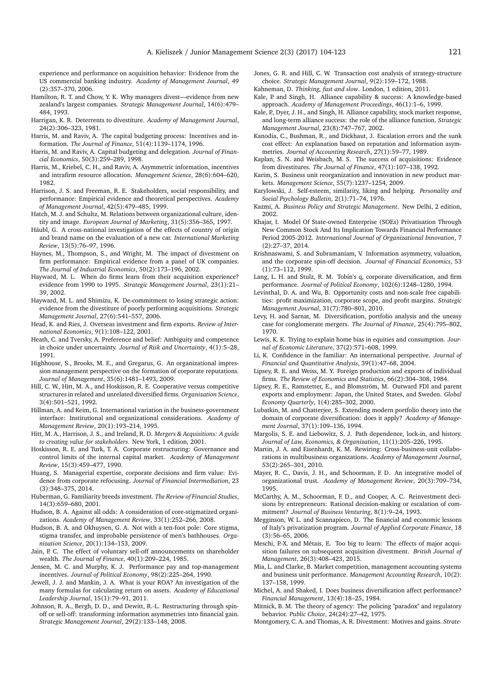experience and performance on acquisition behavior: Evidence from the US commercial banking industry. *Academy of Management Journal*, 49 (2):357–370, 2006.

- <span id="page-17-10"></span>Hamilton, R. T. and Chow, Y. K. Why managers divest—evidence from new zealand's largest companies. *Strategic Management Journal*, 14(6):479– 484, 1993.
- <span id="page-17-13"></span>Harrigan, K. R. Deterrents to divestiture. *Academy of Management Journal*, 24(2):306–323, 1981.
- <span id="page-17-29"></span>Harris, M. and Raviv, A. The capital budgeting process: Incentives and information. *The Journal of Finance*, 51(4):1139–1174, 1996.
- <span id="page-17-30"></span>Harris, M. and Raviv, A. Capital budgeting and delegation. *Journal of Financial Economics*, 50(3):259–289, 1998.
- <span id="page-17-28"></span>Harris, M., Kriebel, C. H., and Raviv, A. Asymmetric information, incentives and intrafirm resource allocation. *Management Science*, 28(6):604–620, 1982.
- <span id="page-17-49"></span>Harrison, J. S. and Freeman, R. E. Stakeholders, social responsibility, and performance: Empirical evidence and theoretical perspectives. *Academy of Management Journal*, 42(5):479–485, 1999.
- <span id="page-17-41"></span>Hatch, M. J. and Schultz, M. Relations between organizational culture, identity and image. *European Journal of Marketing*, 31(5):356–365, 1997.
- <span id="page-17-43"></span>Häubl, G. A cross-national investigation of the effects of country of origin and brand name on the evaluation of a new car. *International Marketing Review*, 13(5):76–97, 1996.
- <span id="page-17-6"></span>Haynes, M., Thompson, S., and Wright, M. The impact of divestment on firm performance: Empirical evidence from a panel of UK companies. *The Journal of Industrial Economics*, 50(2):173–196, 2002.
- <span id="page-17-47"></span>Hayward, M. L. When do firms learn from their acquisition experience? evidence from 1990 to 1995. *Strategic Management Journal*, 23(1):21– 39, 2002.
- <span id="page-17-11"></span>Hayward, M. L. and Shimizu, K. De-commitment to losing strategic action: evidence from the divestiture of poorly performing acquisitions. *Strategic Management Journal*, 27(6):541–557, 2006.
- <span id="page-17-19"></span>Head, K. and Ries, J. Overseas investment and firm exports. *Review of International Economics*, 9(1):108–122, 2001.
- <span id="page-17-27"></span>Heath, C. and Tversky, A. Preference and belief: Ambiguity and competence in choice under uncertainty. *Journal of Risk and Uncertainty*, 4(1):5–28, 1991.
- <span id="page-17-42"></span>Highhouse, S., Brooks, M. E., and Gregarus, G. An organizational impression management perspective on the formation of corporate reputations. *Journal of Management*, 35(6):1481–1493, 2009.
- <span id="page-17-15"></span>Hill, C. W., Hitt, M. A., and Hoskisson, R. E. Cooperative versus competitive structures in related and unrelated diversified firms. *Organization Science*, 3(4):501–521, 1992.
- <span id="page-17-52"></span>Hillman, A. and Keim, G. International variation in the business-government interface: Institutional and organizational considerations. *Academy of Management Review*, 20(1):193–214, 1995.
- <span id="page-17-12"></span>Hitt, M. A., Harrison, J. S., and Ireland, R. D. *Mergers & Acquisitions: A guide to creating value for stakeholders*. New York, 1 edition, 2001.
- <span id="page-17-36"></span>Hoskisson, R. E. and Turk, T. A. Corporate restructuring: Governance and control limits of the internal capital market. *Academy of Management Review*, 15(3):459–477, 1990.
- <span id="page-17-32"></span>Huang, S. Managerial expertise, corporate decisions and firm value: Evidence from corporate refocusing. *Journal of Financial Intermediation*, 23 (3):348–375, 2014.
- <span id="page-17-24"></span>Huberman, G. Familiarity breeds investment. *The Review of Financial Studies*, 14(3):659–680, 2001.
- <span id="page-17-50"></span>Hudson, B. A. Against all odds: A consideration of core-stigmatized organizations. *Academy of Management Review*, 33(1):252–266, 2008.
- <span id="page-17-51"></span>Hudson, B. A. and Okhuysen, G. A. Not with a ten-foot pole: Core stigma, stigma transfer, and improbable persistence of men's bathhouses. *Organization Science*, 20(1):134–153, 2009.
- <span id="page-17-39"></span>Jain, P. C. The effect of voluntary sell-off announcements on shareholder wealth. *The Journal of Finance*, 40(1):209–224, 1985.
- <span id="page-17-53"></span>Jensen, M. C. and Murphy, K. J. Performance pay and top-management incentives. *Journal of Political Economy*, 98(2):225–264, 1990.
- <span id="page-17-9"></span>Jewell, J. J. and Mankin, J. A. What is your ROA? An investigation of the many formulas for calculating return on assets. *Academy of Educational Leadership Journal*, 15(1):79–91, 2011.
- <span id="page-17-5"></span>Johnson, R. A., Bergh, D. D., and Dewitt, R.-L. Restructuring through spinoff or sell-off: transforming information asymmetries into financial gain. *Strategic Management Journal*, 29(2):133–148, 2008.
- <span id="page-17-14"></span>Jones, G. R. and Hill, C. W. Transaction cost analysis of strategy-structure choice. *Strategic Management Journal*, 9(2):159–172, 1988.
- <span id="page-17-34"></span>Kahneman, D. *Thinking, fast and slow*. London, 1 edition, 2011.
- <span id="page-17-46"></span>Kale, P. and Singh, H. Alliance capability & success: A knowledge-based approach. *Academy of Management Proceedings*, 46(1):1–6, 1999.
- <span id="page-17-48"></span>Kale, P., Dyer, J. H., and Singh, H. Alliance capability, stock market response, and long-term alliance success: the role of the alliance function. *Strategic Management Journal*, 23(8):747–767, 2002.
- <span id="page-17-35"></span>Kanodia, C., Bushman, R., and Dickhaut, J. Escalation errors and the sunk cost effect: An explanation based on reputation and information asymmetries. *Journal of Accounting Research*, 27(1):59–77, 1989.
- <span id="page-17-3"></span>Kaplan, S. N. and Weisbach, M. S. The success of acquisitions: Evidence from divestitures. *The Journal of Finance*, 47(1):107–138, 1992.
- <span id="page-17-37"></span>Karim, S. Business unit reorganization and innovation in new product markets. *Management Science*, 55(7):1237–1254, 2009.
- <span id="page-17-26"></span>Karylowski, J. Self-esteem, similarity, liking and helping. *Personality and Social Psychology Bulletin*, 2(1):71–74, 1976.
- <span id="page-17-2"></span>Kazmi, A. *Business Policy and Strategic Management*. New Delhi, 2 edition, 2002.
- <span id="page-17-8"></span>Khajar, I. Model Of State-owned Enterprise (SOEs) Privatisation Through New Common Stock And Its Implication Towards Financial Performance Period 2005-2012. *International Journal of Organizational Innovation*, 7 (2):27–37, 2014.
- <span id="page-17-4"></span>Krishnaswami, S. and Subramaniam, V. Information asymmetry, valuation, and the corporate spin-off decision. *Journal of Financial Economics*, 53 (1):73–112, 1999.
- <span id="page-17-54"></span>Lang, L. H. and Stulz, R. M. Tobin's q, corporate diversification, and firm performance. *Journal of Political Economy*, 102(6):1248–1280, 1994.
- <span id="page-17-22"></span>Levinthal, D. A. and Wu, B. Opportunity costs and non-scale free capabilities: profit maximization, corporate scope, and profit margins. *Strategic Management Journal*, 31(7):780–801, 2010.
- <span id="page-17-16"></span>Levy, H. and Sarnat, M. Diversification, portfolio analysis and the uneasy case for conglomerate mergers. *The Journal of Finance*, 25(4):795–802, 1970.
- <span id="page-17-23"></span>Lewis, K. K. Trying to explain home bias in equities and consumption. *Journal of Economic Literature*, 37(2):571–608, 1999.
- <span id="page-17-25"></span>Li, K. Confidence in the familiar: An international perspective. *Journal of Financial and Quantitative Analysis*, 39(1):47–68, 2004.
- <span id="page-17-21"></span>Lipsey, R. E. and Weiss, M. Y. Foreign production and exports of individual firms. *The Review of Economics and Statistics*, 66(2):304–308, 1984.
- <span id="page-17-20"></span>Lipsey, R. E., Ramstetter, E., and Blomström, M. Outward FDI and parent exports and employment: Japan, the United States, and Sweden. *Global Economy Quarterly*, 1(4):285–302, 2000.
- <span id="page-17-18"></span>Lubatkin, M. and Chatterjee, S. Extending modern portfolio theory into the domain of corporate diversification: does it apply? *Academy of Management Journal*, 37(1):109–136, 1994.
- <span id="page-17-44"></span>Margolis, S. E. and Liebowitz, S. J. Path dependence, lock-in, and history. *Journal of Law, Economics, & Organization*, 11(1):205–226, 1995.
- <span id="page-17-1"></span>Martin, J. A. and Eisenhardt, K. M. Rewiring: Cross-business-unit collaborations in multibusiness organizations. *Academy of Management Journal*, 53(2):265–301, 2010.
- <span id="page-17-31"></span>Mayer, R. C., Davis, J. H., and Schoorman, F. D. An integrative model of organizational trust. *Academy of Management Review*, 20(3):709–734, 1995.
- <span id="page-17-33"></span>McCarthy, A. M., Schoorman, F. D., and Cooper, A. C. Reinvestment decisions by entrepreneurs: Rational decision-making or escalation of commitment? *Journal of Business Venturing*, 8(1):9–24, 1993.
- <span id="page-17-7"></span>Megginson, W. L. and Scannapieco, D. The financial and economic lessons of Italy's privatization program. *Journal of Applied Corporate Finance*, 18 (3):56–65, 2006.
- <span id="page-17-45"></span>Meschi, P.-X. and Métais, E. Too big to learn: The effects of major acquisition failures on subsequent acquisition divestment. *British Journal of Management*, 26(3):408–423, 2015.
- <span id="page-17-0"></span>Mia, L. and Clarke, B. Market competition, management accounting systems and business unit performance. *Management Accounting Research*, 10(2): 137–158, 1999.
- <span id="page-17-17"></span>Michel, A. and Shaked, I. Does business diversification affect performance? *Financial Management*, 13(4):18–25, 1984.
- <span id="page-17-38"></span>Mitnick, B. M. The theory of agency: The policing "paradox" and regulatory behavior. *Public Choice*, 24(24):27–42, 1975.
- <span id="page-17-40"></span>Montgomery, C. A. and Thomas, A. R. Divestment: Motives and gains. *Strate-*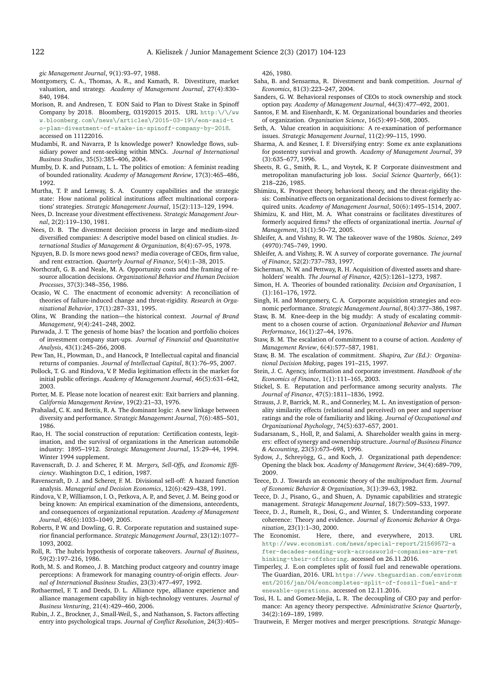*gic Management Journal*, 9(1):93–97, 1988.

- <span id="page-18-29"></span>Montgomery, C. A., Thomas, A. R., and Kamath, R. Divestiture, market valuation, and strategy. *Academy of Management Journal*, 27(4):830– 840, 1984.
- <span id="page-18-1"></span>Morison, R. and Andresen, T. EON Said to Plan to Divest Stake in Spinoff Company by 2018. Bloomberg, 03192015 2015. URL [http:\/\/ww](http:\/\/www.bloomberg.com\/news\/articles\/2015-03- 19\/eon-said-to-plan-divestment-of-stake-in-spinoff-company-by-2018) [w.bloomberg.com\/news\/articles\/2015-03-19\/eon-said-t](http:\/\/www.bloomberg.com\/news\/articles\/2015-03- 19\/eon-said-to-plan-divestment-of-stake-in-spinoff-company-by-2018) [o-plan-divestment-of-stake-in-spinoff-company-by-2018](http:\/\/www.bloomberg.com\/news\/articles\/2015-03- 19\/eon-said-to-plan-divestment-of-stake-in-spinoff-company-by-2018). accessed on 11122016.
- <span id="page-18-23"></span>Mudambi, R. and Navarra, P. Is knowledge power? Knowledge flows, subsidiary power and rent-seeking within MNCs. *Journal of International Business Studies*, 35(5):385–406, 2004.
- <span id="page-18-33"></span>Mumby, D. K. and Putnam, L. L. The politics of emotion: A feminist reading of bounded rationality. *Academy of Management Review*, 17(3):465–486, 1992.
- <span id="page-18-48"></span>Murtha, T. P. and Lenway, S. A. Country capabilities and the strategic state: How national political institutions affect multinational corporations' strategies. *Strategic Management Journal*, 15(2):113–129, 1994.
- <span id="page-18-19"></span>Nees, D. Increase your divestment effectiveness. *Strategic Management Journal*, 2(2):119–130, 1981.
- <span id="page-18-5"></span>Nees, D. B. The divestment decision process in large and medium-sized diversified companies: A descriptive model based on clinical studies. *International Studies of Management & Organization*, 8(4):67–95, 1978.
- <span id="page-18-47"></span>Nguyen, B. D. Is more news good news? media coverage of CEOs, firm value, and rent extraction. *Quarterly Journal of Finance*, 5(4):1–38, 2015.
- <span id="page-18-27"></span>Northcraft, G. B. and Neale, M. A. Opportunity costs and the framing of resource allocation decisions. *Organizational Behavior and Human Decision Processes*, 37(3):348–356, 1986.
- <span id="page-18-42"></span>Ocasio, W. C. The enactment of economic adversity: A reconciliation of theories of failure-induced change and threat-rigidity. *Research in Organizational Behavior*, 17(1):287–331, 1995.
- <span id="page-18-35"></span>Olins, W. Branding the nation—the historical context. *Journal of Brand Management*, 9(4):241–248, 2002.
- <span id="page-18-20"></span>Parwada, J. T. The genesis of home bias? the location and portfolio choices of investment company start-ups. *Journal of Financial and Quantitative Analysis*, 43(1):245–266, 2008.
- <span id="page-18-30"></span>Pew Tan, H., Plowman, D., and Hancock, P. Intellectual capital and financial returns of companies. *Journal of Intellectual Capital*, 8(1):76–95, 2007.
- <span id="page-18-45"></span>Pollock, T. G. and Rindova, V. P. Media legitimation effects in the market for initial public offerings. *Academy of Management Journal*, 46(5):631–642, 2003.
- <span id="page-18-10"></span>Porter, M. E. Please note location of nearest exit: Exit barriers and planning. *California Management Review*, 19(2):21–33, 1976.
- <span id="page-18-41"></span>Prahalad, C. K. and Bettis, R. A. The dominant logic: A new linkage between diversity and performance. *Strategic Management Journal*, 7(6):485–501, 1986.
- <span id="page-18-46"></span>Rao, H. The social construction of reputation: Certification contests, legitimation, and the survival of organizations in the American automobile industry: 1895–1912. *Strategic Management Journal*, 15:29–44, 1994. Winter 1994 supplement.
- <span id="page-18-3"></span>Ravenscraft, D. J. and Scherer, F. M. *Mergers, Sell-Offs, and Economic Efficiency*. Washington D.C, 1 edition, 1987.
- <span id="page-18-9"></span>Ravenscraft, D. J. and Scherer, F. M. Divisional sell-off: A hazard function analysis. *Managerial and Decision Economics*, 12(6):429–438, 1991.
- <span id="page-18-44"></span>Rindova, V. P., Williamson, I. O., Petkova, A. P., and Sever, J. M. Being good or being known: An empirical examination of the dimensions, antecedents, and consequences of organizational reputation. *Academy of Management Journal*, 48(6):1033–1049, 2005.
- <span id="page-18-34"></span>Roberts, P. W. and Dowling, G. R. Corporate reputation and sustained superior financial performance. *Strategic Management Journal*, 23(12):1077– 1093, 2002.
- <span id="page-18-51"></span>Roll, R. The hubris hypothesis of corporate takeovers. *Journal of Business*, 59(2):197–216, 1986.
- <span id="page-18-37"></span>Roth, M. S. and Romeo, J. B. Matching product catgeory and country image perceptions: A framework for managing country-of-origin effects. *Journal of International Business Studies*, 23(3):477–497, 1992.
- <span id="page-18-43"></span>Rothaermel, F. T. and Deeds, D. L. Alliance type, alliance experience and alliance management capability in high-technology ventures. *Journal of Business Venturing*, 21(4):429–460, 2006.
- <span id="page-18-26"></span>Rubin, J. Z., Brockner, J., Small-Weil, S., and Nathanson, S. Factors affecting entry into psychological traps. *Journal of Conflict Resolution*, 24(3):405–

426, 1980.

- <span id="page-18-7"></span>Saha, B. and Sensarma, R. Divestment and bank competition. *Journal of Economics*, 81(3):223–247, 2004.
- <span id="page-18-50"></span>Sanders, G. W. Behavioral responses of CEOs to stock ownership and stock option pay. *Academy of Management Journal*, 44(3):477–492, 2001.
- <span id="page-18-36"></span>Santos, F. M. and Eisenhardt, K. M. Organizational boundaries and theories of organization. *Organization Science*, 16(5):491–508, 2005.
- <span id="page-18-16"></span>Seth, A. Value creation in acquisitions: A re-examination of performance issues. *Strategic Management Journal*, 11(2):99–115, 1990.
- <span id="page-18-2"></span>Sharma, A. and Kesner, I. F. Diversifying entry: Some ex ante explanations for postentry survival and growth. *Academy of Management Journal*, 39 (3):635–677, 1996.
- <span id="page-18-6"></span>Sheets, R. G., Smith, R. L., and Voytek, K. P. Corporate disinvestment and metropolitan manufacturing job loss. *Social Science Quarterly*, 66(1): 218–226, 1985.
- <span id="page-18-4"></span>Shimizu, K. Prospect theory, behavioral theory, and the threat-rigidity thesis: Combinative effects on organizational decisions to divest formerly acquired units. *Academy of Management Journal*, 50(6):1495–1514, 2007.
- <span id="page-18-8"></span>Shimizu, K. and Hitt, M. A. What constrains or facilitates divestitures of formerly acquired firms? the effects of organizational inertia. *Journal of Management*, 31(1):50–72, 2005.
- <span id="page-18-49"></span>Shleifer, A. and Vishny, R. W. The takeover wave of the 1980s. *Science*, 249 (4970):745–749, 1990.
- <span id="page-18-28"></span>Shleifer, A. and Vishny, R. W. A survey of corporate governance. *The journal of Finance*, 52(2):737–783, 1997.
- <span id="page-18-31"></span>Sicherman, N. W. and Pettway, R. H. Acquisition of divested assets and shareholders' wealth. *The Journal of Finance*, 42(5):1261–1273, 1987.
- <span id="page-18-32"></span>Simon, H. A. Theories of bounded rationality. *Decision and Organization*, 1 (1):161–176, 1972.
- <span id="page-18-12"></span>Singh, H. and Montgomery, C. A. Corporate acquisition strategies and economic performance. *Strategic Management Journal*, 8(4):377–386, 1987.
- <span id="page-18-25"></span>Staw, B. M. Knee-deep in the big muddy: A study of escalating commitment to a chosen course of action. *Organizational Behavior and Human Performance*, 16(1):27–44, 1976.
- <span id="page-18-24"></span>Staw, B. M. The escalation of commitment to a course of action. *Academy of Management Review*, 6(4):577–587, 1981.
- <span id="page-18-11"></span>Staw, B. M. The escalation of commitment. *Shapira, Zur (Ed.): Organizational Decision Making*, pages 191–215, 1997.
- <span id="page-18-22"></span>Stein, J. C. Agency, information and corporate investment. *Handbook of the Economics of Finance*, 1(1):111–165, 2003.
- <span id="page-18-52"></span>Stickel, S. E. Reputation and performance among security analysts. *The Journal of Finance*, 47(5):1811–1836, 1992.
- <span id="page-18-21"></span>Strauss, J. P., Barrick, M. R., and Connerley, M. L. An investigation of personality similarity effects (relational and perceived) on peer and supervisor ratings and the role of familiarity and liking. *Journal of Occupational and Organizational Psychology*, 74(5):637–657, 2001.
- <span id="page-18-14"></span>Sudarsanam, S., Holl, P., and Salami, A. Shareholder wealth gains in mergers: effect of synergy and ownership structure. *Journal of Business Finance & Accounting*, 23(5):673–698, 1996.
- <span id="page-18-40"></span>Sydow, J., Schreyögg, G., and Koch, J. Organizational path dependence: Opening the black box. *Academy of Management Review*, 34(4):689–709, 2009.
- <span id="page-18-15"></span>Teece, D. J. Towards an economic theory of the multiproduct firm. *Journal of Economic Behavior & Organization*, 3(1):39–63, 1982.
- <span id="page-18-39"></span>Teece, D. J., Pisano, G., and Shuen, A. Dynamic capabilities and strategic management. *Strategic Management Journal*, 18(7):509–533, 1997.
- <span id="page-18-38"></span>Teece, D. J., Rumelt, R., Dosi, G., and Winter, S. Understanding corporate coherence: Theory and evidence. *Journal of Economic Behavior & Organization*, 23(1):1–30, 2000.
- <span id="page-18-18"></span>The Economist. Here, there, and everywhere, 2013. URL [http://www.economist.com/news/special-report/21569572-a](http://www.economist.com/news/special-report/21569572-after-decades-sending-work-acrossworld-companies-are-rethinking-their-offshoring) [fter-decades-sending-work-acrossworld-companies-are-ret](http://www.economist.com/news/special-report/21569572-after-decades-sending-work-acrossworld-companies-are-rethinking-their-offshoring) [hinking-their-offshoring](http://www.economist.com/news/special-report/21569572-after-decades-sending-work-acrossworld-companies-are-rethinking-their-offshoring). accessed on 26.11.2016.
- <span id="page-18-0"></span>Timperley, J. E.on completes split of fossil fuel and renewable operations. The Guardian, 2016. URL [https://www.theguardian.com/environm](https://www.theguardian.com/environment/2016/jan/04/eoncompletes-split-of-fossil-fuel-and-renewable-operations) [ent/2016/jan/04/eoncompletes-split-of-fossil-fuel-and-r](https://www.theguardian.com/environment/2016/jan/04/eoncompletes-split-of-fossil-fuel-and-renewable-operations) [enewable-operations](https://www.theguardian.com/environment/2016/jan/04/eoncompletes-split-of-fossil-fuel-and-renewable-operations). accessed on 12.11.2016.
- <span id="page-18-17"></span>Tosi, H. L. and Gomez-Mejia, L. R. The decoupling of CEO pay and performance: An agency theory perspective. *Administrative Science Quarterly*, 34(2):169–189, 1989.
- <span id="page-18-13"></span>Trautwein, F. Merger motives and merger prescriptions. *Strategic Manage-*